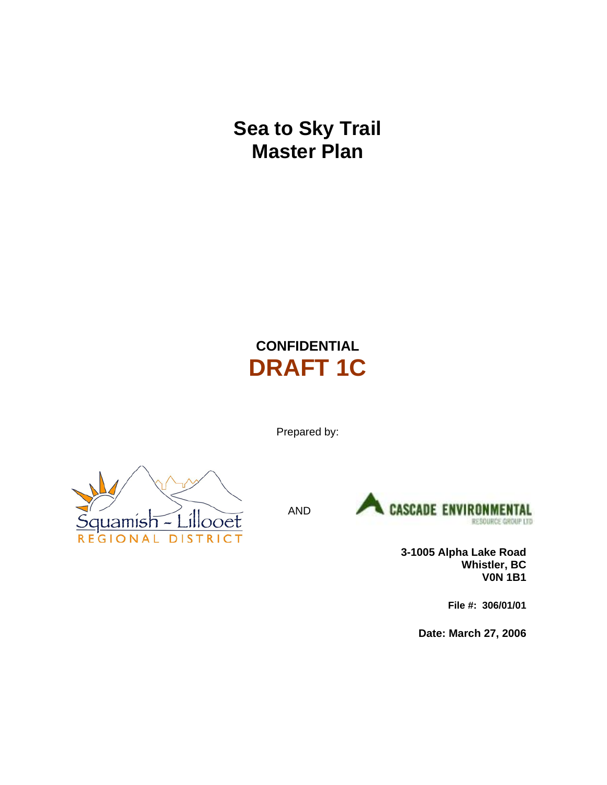**Sea to Sky Trail Master Plan** 

# **CONFIDENTIAL DRAFT 1C**

Prepared by:



AND



**3-1005 Alpha Lake Road Whistler, BC V0N 1B1** 

**File #: 306/01/01** 

**Date: March 27, 2006**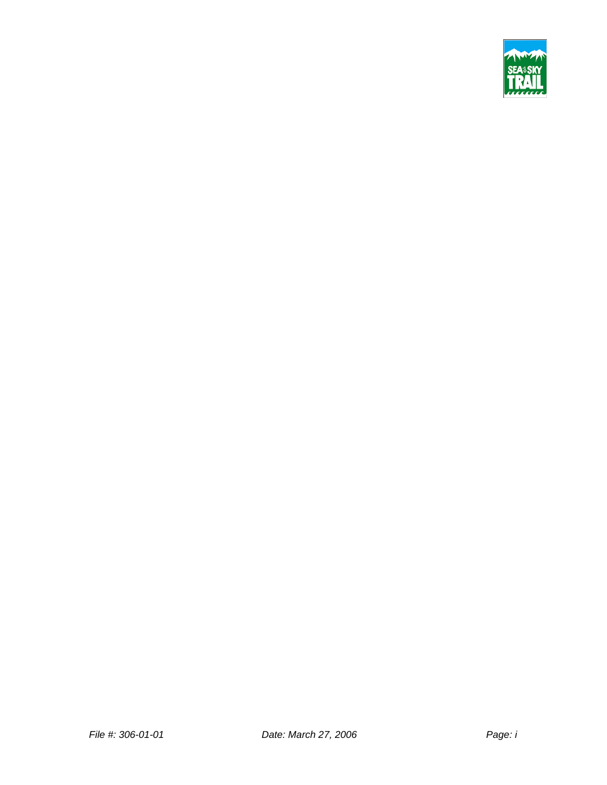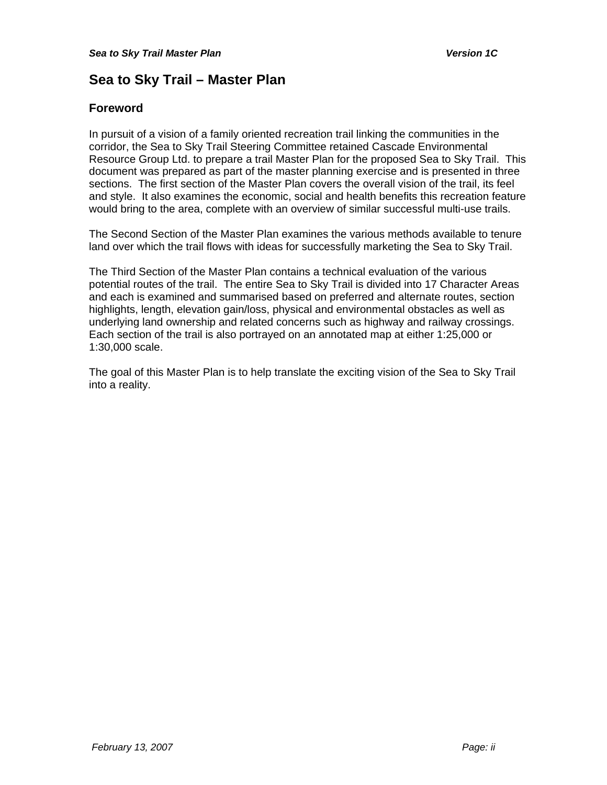## **Sea to Sky Trail – Master Plan**

## **Foreword**

In pursuit of a vision of a family oriented recreation trail linking the communities in the corridor, the Sea to Sky Trail Steering Committee retained Cascade Environmental Resource Group Ltd. to prepare a trail Master Plan for the proposed Sea to Sky Trail. This document was prepared as part of the master planning exercise and is presented in three sections. The first section of the Master Plan covers the overall vision of the trail, its feel and style. It also examines the economic, social and health benefits this recreation feature would bring to the area, complete with an overview of similar successful multi-use trails.

The Second Section of the Master Plan examines the various methods available to tenure land over which the trail flows with ideas for successfully marketing the Sea to Sky Trail.

The Third Section of the Master Plan contains a technical evaluation of the various potential routes of the trail. The entire Sea to Sky Trail is divided into 17 Character Areas and each is examined and summarised based on preferred and alternate routes, section highlights, length, elevation gain/loss, physical and environmental obstacles as well as underlying land ownership and related concerns such as highway and railway crossings. Each section of the trail is also portrayed on an annotated map at either 1:25,000 or 1:30,000 scale.

The goal of this Master Plan is to help translate the exciting vision of the Sea to Sky Trail into a reality.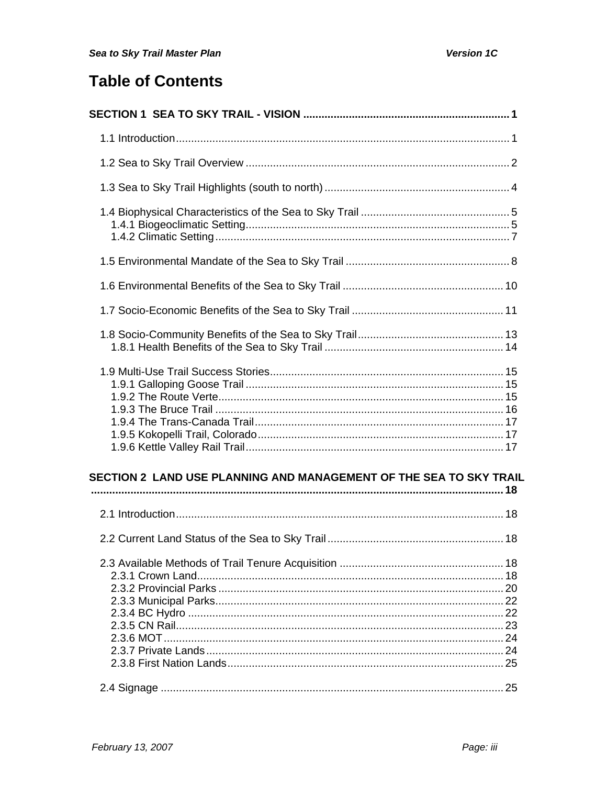# **Table of Contents**

| SECTION 2 LAND USE PLANNING AND MANAGEMENT OF THE SEA TO SKY TRAIL |  |
|--------------------------------------------------------------------|--|
|                                                                    |  |
|                                                                    |  |
|                                                                    |  |
|                                                                    |  |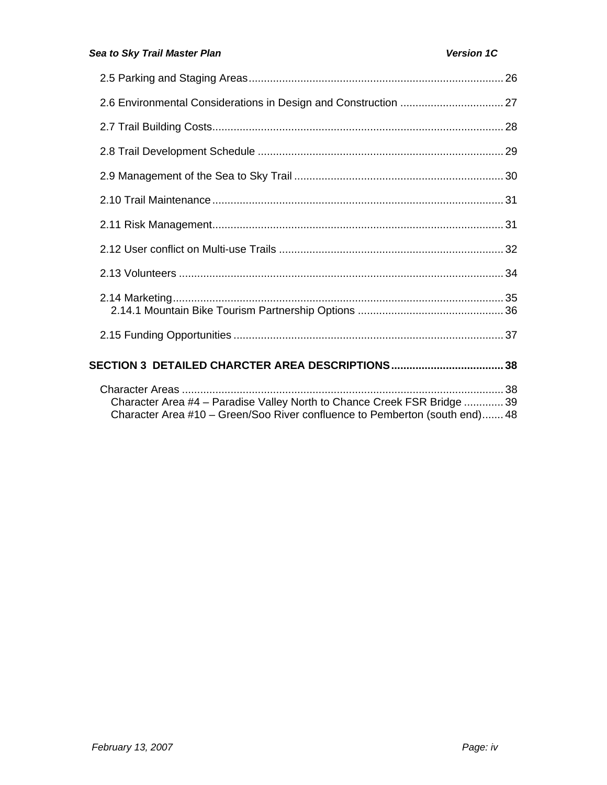| Character Area #4 - Paradise Valley North to Chance Creek FSR Bridge  39<br>Character Area #10 - Green/Soo River confluence to Pemberton (south end) 48 |  |
|---------------------------------------------------------------------------------------------------------------------------------------------------------|--|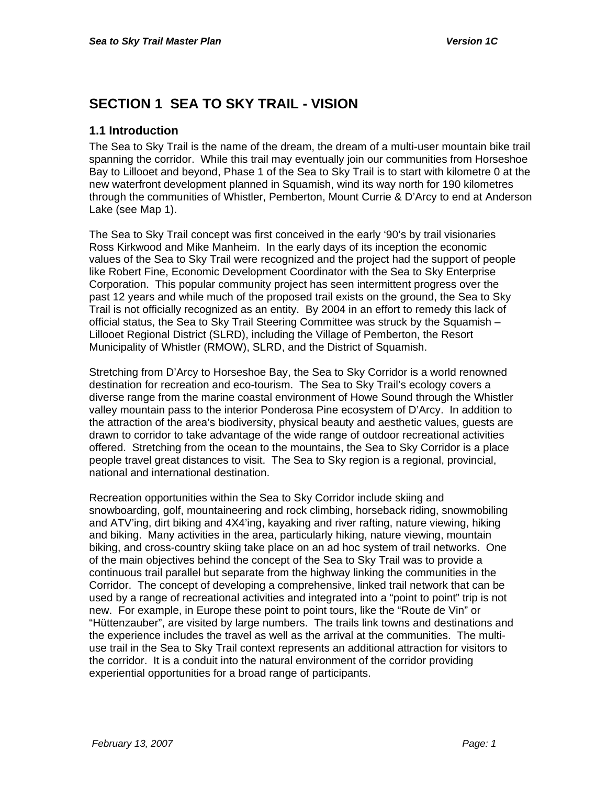# <span id="page-5-0"></span>**SECTION 1 SEA TO SKY TRAIL - VISION**

## **1.1 Introduction**

The Sea to Sky Trail is the name of the dream, the dream of a multi-user mountain bike trail spanning the corridor. While this trail may eventually join our communities from Horseshoe Bay to Lillooet and beyond, Phase 1 of the Sea to Sky Trail is to start with kilometre 0 at the new waterfront development planned in Squamish, wind its way north for 190 kilometres through the communities of Whistler, Pemberton, Mount Currie & D'Arcy to end at Anderson Lake (see Map 1).

The Sea to Sky Trail concept was first conceived in the early '90's by trail visionaries Ross Kirkwood and Mike Manheim. In the early days of its inception the economic values of the Sea to Sky Trail were recognized and the project had the support of people like Robert Fine, Economic Development Coordinator with the Sea to Sky Enterprise Corporation. This popular community project has seen intermittent progress over the past 12 years and while much of the proposed trail exists on the ground, the Sea to Sky Trail is not officially recognized as an entity. By 2004 in an effort to remedy this lack of official status, the Sea to Sky Trail Steering Committee was struck by the Squamish – Lillooet Regional District (SLRD), including the Village of Pemberton, the Resort Municipality of Whistler (RMOW), SLRD, and the District of Squamish.

Stretching from D'Arcy to Horseshoe Bay, the Sea to Sky Corridor is a world renowned destination for recreation and eco-tourism. The Sea to Sky Trail's ecology covers a diverse range from the marine coastal environment of Howe Sound through the Whistler valley mountain pass to the interior Ponderosa Pine ecosystem of D'Arcy. In addition to the attraction of the area's biodiversity, physical beauty and aesthetic values, guests are drawn to corridor to take advantage of the wide range of outdoor recreational activities offered. Stretching from the ocean to the mountains, the Sea to Sky Corridor is a place people travel great distances to visit. The Sea to Sky region is a regional, provincial, national and international destination.

Recreation opportunities within the Sea to Sky Corridor include skiing and snowboarding, golf, mountaineering and rock climbing, horseback riding, snowmobiling and ATV'ing, dirt biking and 4X4'ing, kayaking and river rafting, nature viewing, hiking and biking. Many activities in the area, particularly hiking, nature viewing, mountain biking, and cross-country skiing take place on an ad hoc system of trail networks. One of the main objectives behind the concept of the Sea to Sky Trail was to provide a continuous trail parallel but separate from the highway linking the communities in the Corridor. The concept of developing a comprehensive, linked trail network that can be used by a range of recreational activities and integrated into a "point to point" trip is not new. For example, in Europe these point to point tours, like the "Route de Vin" or "Hüttenzauber", are visited by large numbers. The trails link towns and destinations and the experience includes the travel as well as the arrival at the communities. The multiuse trail in the Sea to Sky Trail context represents an additional attraction for visitors to the corridor. It is a conduit into the natural environment of the corridor providing experiential opportunities for a broad range of participants.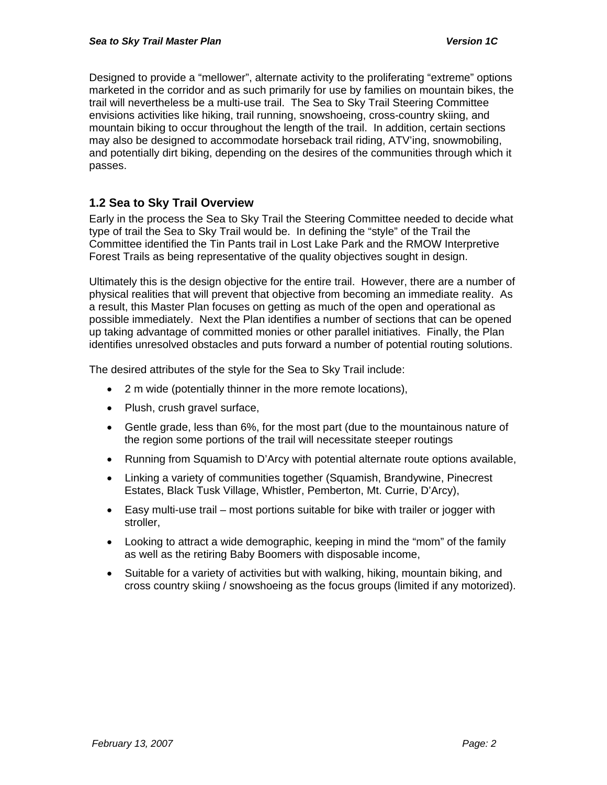<span id="page-6-0"></span>Designed to provide a "mellower", alternate activity to the proliferating "extreme" options marketed in the corridor and as such primarily for use by families on mountain bikes, the trail will nevertheless be a multi-use trail. The Sea to Sky Trail Steering Committee envisions activities like hiking, trail running, snowshoeing, cross-country skiing, and mountain biking to occur throughout the length of the trail. In addition, certain sections may also be designed to accommodate horseback trail riding, ATV'ing, snowmobiling, and potentially dirt biking, depending on the desires of the communities through which it passes.

## **1.2 Sea to Sky Trail Overview**

Early in the process the Sea to Sky Trail the Steering Committee needed to decide what type of trail the Sea to Sky Trail would be. In defining the "style" of the Trail the Committee identified the Tin Pants trail in Lost Lake Park and the RMOW Interpretive Forest Trails as being representative of the quality objectives sought in design.

Ultimately this is the design objective for the entire trail. However, there are a number of physical realities that will prevent that objective from becoming an immediate reality. As a result, this Master Plan focuses on getting as much of the open and operational as possible immediately. Next the Plan identifies a number of sections that can be opened up taking advantage of committed monies or other parallel initiatives. Finally, the Plan identifies unresolved obstacles and puts forward a number of potential routing solutions.

The desired attributes of the style for the Sea to Sky Trail include:

- 2 m wide (potentially thinner in the more remote locations),
- Plush, crush gravel surface,
- Gentle grade, less than 6%, for the most part (due to the mountainous nature of the region some portions of the trail will necessitate steeper routings
- Running from Squamish to D'Arcy with potential alternate route options available,
- Linking a variety of communities together (Squamish, Brandywine, Pinecrest Estates, Black Tusk Village, Whistler, Pemberton, Mt. Currie, D'Arcy),
- Easy multi-use trail most portions suitable for bike with trailer or jogger with stroller,
- Looking to attract a wide demographic, keeping in mind the "mom" of the family as well as the retiring Baby Boomers with disposable income,
- Suitable for a variety of activities but with walking, hiking, mountain biking, and cross country skiing / snowshoeing as the focus groups (limited if any motorized).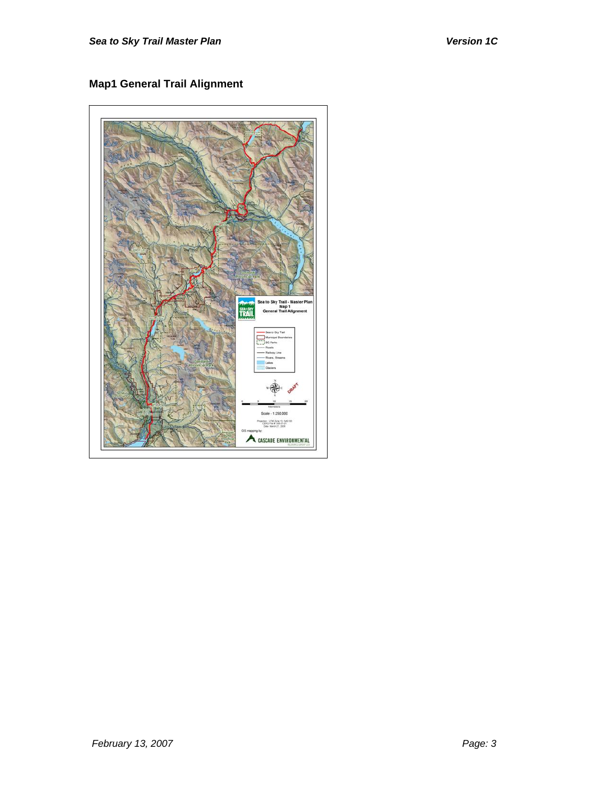# **Map1 General Trail Alignment**

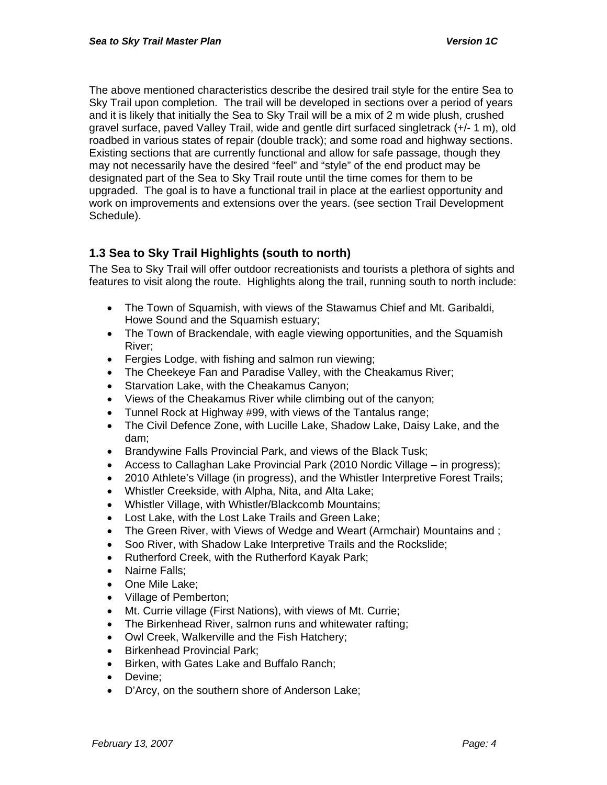<span id="page-8-0"></span>The above mentioned characteristics describe the desired trail style for the entire Sea to Sky Trail upon completion. The trail will be developed in sections over a period of years and it is likely that initially the Sea to Sky Trail will be a mix of 2 m wide plush, crushed gravel surface, paved Valley Trail, wide and gentle dirt surfaced singletrack (+/- 1 m), old roadbed in various states of repair (double track); and some road and highway sections. Existing sections that are currently functional and allow for safe passage, though they may not necessarily have the desired "feel" and "style" of the end product may be designated part of the Sea to Sky Trail route until the time comes for them to be upgraded. The goal is to have a functional trail in place at the earliest opportunity and work on improvements and extensions over the years. (see section Trail Development Schedule).

## **1.3 Sea to Sky Trail Highlights (south to north)**

The Sea to Sky Trail will offer outdoor recreationists and tourists a plethora of sights and features to visit along the route. Highlights along the trail, running south to north include:

- The Town of Squamish, with views of the Stawamus Chief and Mt. Garibaldi, Howe Sound and the Squamish estuary;
- The Town of Brackendale, with eagle viewing opportunities, and the Squamish River;
- Fergies Lodge, with fishing and salmon run viewing;
- The Cheekeye Fan and Paradise Valley, with the Cheakamus River;
- Starvation Lake, with the Cheakamus Canyon;
- Views of the Cheakamus River while climbing out of the canyon;
- Tunnel Rock at Highway #99, with views of the Tantalus range;
- The Civil Defence Zone, with Lucille Lake, Shadow Lake, Daisy Lake, and the dam;
- Brandywine Falls Provincial Park, and views of the Black Tusk;
- Access to Callaghan Lake Provincial Park (2010 Nordic Village in progress);
- 2010 Athlete's Village (in progress), and the Whistler Interpretive Forest Trails;
- Whistler Creekside, with Alpha, Nita, and Alta Lake;
- Whistler Village, with Whistler/Blackcomb Mountains;
- Lost Lake, with the Lost Lake Trails and Green Lake;
- The Green River, with Views of Wedge and Weart (Armchair) Mountains and ;
- Soo River, with Shadow Lake Interpretive Trails and the Rockslide;
- Rutherford Creek, with the Rutherford Kayak Park;
- Nairne Falls:
- One Mile Lake;
- Village of Pemberton;
- Mt. Currie village (First Nations), with views of Mt. Currie;
- The Birkenhead River, salmon runs and whitewater rafting;
- Owl Creek, Walkerville and the Fish Hatchery;
- Birkenhead Provincial Park;
- Birken, with Gates Lake and Buffalo Ranch;
- Devine;
- D'Arcy, on the southern shore of Anderson Lake;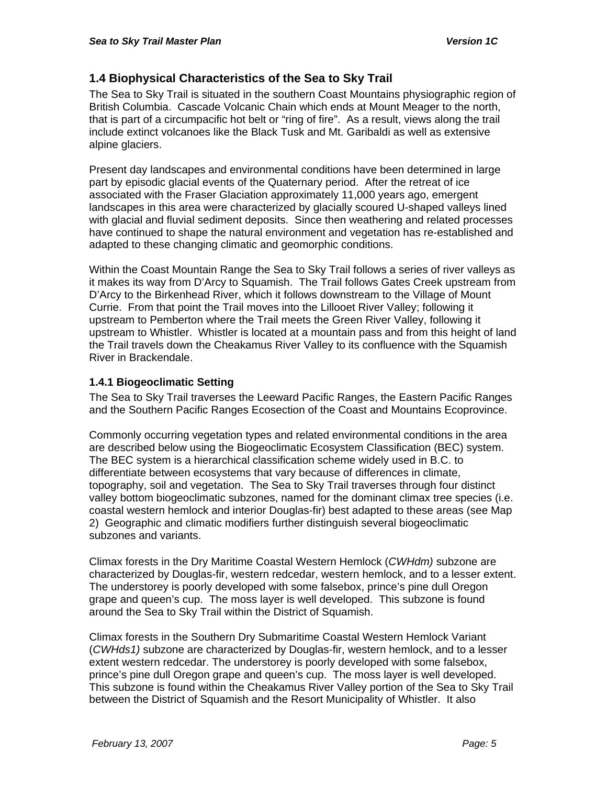## <span id="page-9-0"></span>**1.4 Biophysical Characteristics of the Sea to Sky Trail**

The Sea to Sky Trail is situated in the southern Coast Mountains physiographic region of British Columbia. Cascade Volcanic Chain which ends at Mount Meager to the north, that is part of a circumpacific hot belt or "ring of fire". As a result, views along the trail include extinct volcanoes like the Black Tusk and Mt. Garibaldi as well as extensive alpine glaciers.

Present day landscapes and environmental conditions have been determined in large part by episodic glacial events of the Quaternary period. After the retreat of ice associated with the Fraser Glaciation approximately 11,000 years ago, emergent landscapes in this area were characterized by glacially scoured U-shaped valleys lined with glacial and fluvial sediment deposits. Since then weathering and related processes have continued to shape the natural environment and vegetation has re-established and adapted to these changing climatic and geomorphic conditions.

Within the Coast Mountain Range the Sea to Sky Trail follows a series of river valleys as it makes its way from D'Arcy to Squamish. The Trail follows Gates Creek upstream from D'Arcy to the Birkenhead River, which it follows downstream to the Village of Mount Currie. From that point the Trail moves into the Lillooet River Valley; following it upstream to Pemberton where the Trail meets the Green River Valley, following it upstream to Whistler. Whistler is located at a mountain pass and from this height of land the Trail travels down the Cheakamus River Valley to its confluence with the Squamish River in Brackendale.

## **1.4.1 Biogeoclimatic Setting**

The Sea to Sky Trail traverses the Leeward Pacific Ranges, the Eastern Pacific Ranges and the Southern Pacific Ranges Ecosection of the Coast and Mountains Ecoprovince.

Commonly occurring vegetation types and related environmental conditions in the area are described below using the Biogeoclimatic Ecosystem Classification (BEC) system. The BEC system is a hierarchical classification scheme widely used in B.C. to differentiate between ecosystems that vary because of differences in climate, topography, soil and vegetation. The Sea to Sky Trail traverses through four distinct valley bottom biogeoclimatic subzones, named for the dominant climax tree species (i.e. coastal western hemlock and interior Douglas-fir) best adapted to these areas (see Map 2) Geographic and climatic modifiers further distinguish several biogeoclimatic subzones and variants.

Climax forests in the Dry Maritime Coastal Western Hemlock (*CWHdm)* subzone are characterized by Douglas-fir, western redcedar, western hemlock, and to a lesser extent. The understorey is poorly developed with some falsebox, prince's pine dull Oregon grape and queen's cup. The moss layer is well developed. This subzone is found around the Sea to Sky Trail within the District of Squamish.

Climax forests in the Southern Dry Submaritime Coastal Western Hemlock Variant (*CWHds1)* subzone are characterized by Douglas-fir, western hemlock, and to a lesser extent western redcedar. The understorey is poorly developed with some falsebox, prince's pine dull Oregon grape and queen's cup. The moss layer is well developed. This subzone is found within the Cheakamus River Valley portion of the Sea to Sky Trail between the District of Squamish and the Resort Municipality of Whistler. It also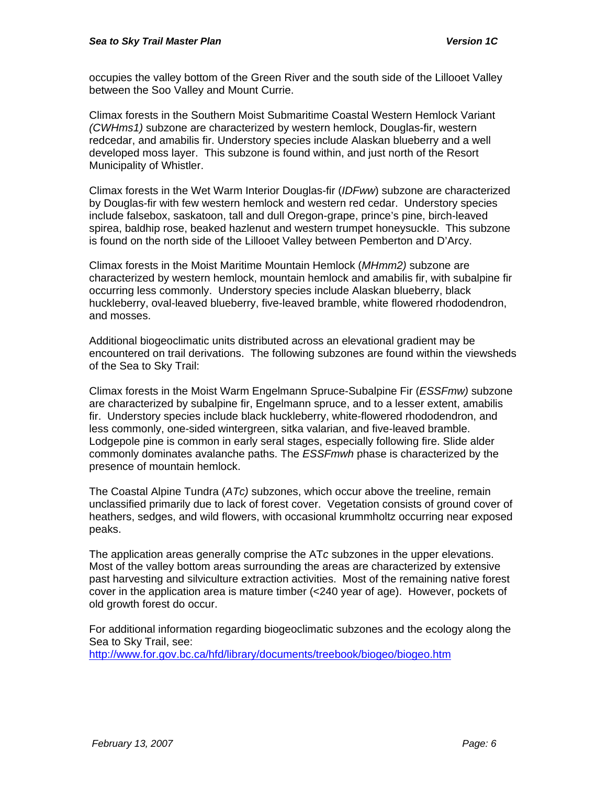occupies the valley bottom of the Green River and the south side of the Lillooet Valley between the Soo Valley and Mount Currie.

Climax forests in the Southern Moist Submaritime Coastal Western Hemlock Variant *(CWHms1)* subzone are characterized by western hemlock, Douglas-fir, western redcedar, and amabilis fir. Understory species include Alaskan blueberry and a well developed moss layer. This subzone is found within, and just north of the Resort Municipality of Whistler.

Climax forests in the Wet Warm Interior Douglas-fir (*IDFww*) subzone are characterized by Douglas-fir with few western hemlock and western red cedar. Understory species include falsebox, saskatoon, tall and dull Oregon-grape, prince's pine, birch-leaved spirea, baldhip rose, beaked hazlenut and western trumpet honeysuckle. This subzone is found on the north side of the Lillooet Valley between Pemberton and D'Arcy.

Climax forests in the Moist Maritime Mountain Hemlock (*MHmm2)* subzone are characterized by western hemlock, mountain hemlock and amabilis fir, with subalpine fir occurring less commonly. Understory species include Alaskan blueberry, black huckleberry, oval-leaved blueberry, five-leaved bramble, white flowered rhododendron, and mosses.

Additional biogeoclimatic units distributed across an elevational gradient may be encountered on trail derivations. The following subzones are found within the viewsheds of the Sea to Sky Trail:

Climax forests in the Moist Warm Engelmann Spruce-Subalpine Fir (*ESSFmw)* subzone are characterized by subalpine fir, Engelmann spruce, and to a lesser extent, amabilis fir. Understory species include black huckleberry, white-flowered rhododendron, and less commonly, one-sided wintergreen, sitka valarian, and five-leaved bramble. Lodgepole pine is common in early seral stages, especially following fire. Slide alder commonly dominates avalanche paths. The *ESSFmwh* phase is characterized by the presence of mountain hemlock.

The Coastal Alpine Tundra (*ATc)* subzones, which occur above the treeline, remain unclassified primarily due to lack of forest cover. Vegetation consists of ground cover of heathers, sedges, and wild flowers, with occasional krummholtz occurring near exposed peaks.

The application areas generally comprise the AT*c* subzones in the upper elevations. Most of the valley bottom areas surrounding the areas are characterized by extensive past harvesting and silviculture extraction activities. Most of the remaining native forest cover in the application area is mature timber (<240 year of age). However, pockets of old growth forest do occur.

For additional information regarding biogeoclimatic subzones and the ecology along the Sea to Sky Trail, see:

<http://www.for.gov.bc.ca/hfd/library/documents/treebook/biogeo/biogeo.htm>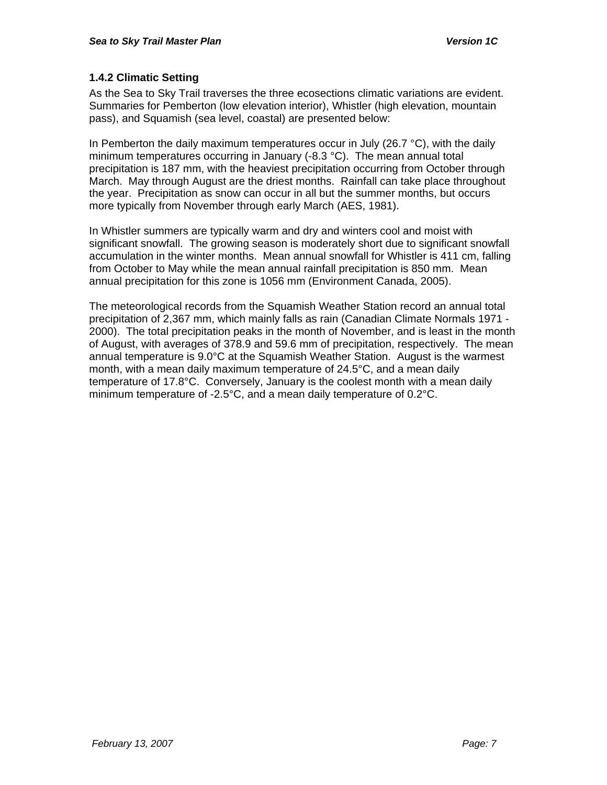## <span id="page-11-0"></span>**1.4.2 Climatic Setting**

As the Sea to Sky Trail traverses the three ecosections climatic variations are evident. Summaries for Pemberton (low elevation interior), Whistler (high elevation, mountain pass), and Squamish (sea level, coastal) are presented below:

In Pemberton the daily maximum temperatures occur in July (26.7 °C), with the daily minimum temperatures occurring in January (-8.3 °C). The mean annual total precipitation is 187 mm, with the heaviest precipitation occurring from October through March. May through August are the driest months. Rainfall can take place throughout the year. Precipitation as snow can occur in all but the summer months, but occurs more typically from November through early March (AES, 1981).

In Whistler summers are typically warm and dry and winters cool and moist with significant snowfall. The growing season is moderately short due to significant snowfall accumulation in the winter months. Mean annual snowfall for Whistler is 411 cm, falling from October to May while the mean annual rainfall precipitation is 850 mm. Mean annual precipitation for this zone is 1056 mm (Environment Canada, 2005).

The meteorological records from the Squamish Weather Station record an annual total precipitation of 2,367 mm, which mainly falls as rain (Canadian Climate Normals 1971 - 2000). The total precipitation peaks in the month of November, and is least in the month of August, with averages of 378.9 and 59.6 mm of precipitation, respectively. The mean annual temperature is 9.0°C at the Squamish Weather Station. August is the warmest month, with a mean daily maximum temperature of 24.5°C, and a mean daily temperature of 17.8°C. Conversely, January is the coolest month with a mean daily minimum temperature of -2.5°C, and a mean daily temperature of 0.2°C.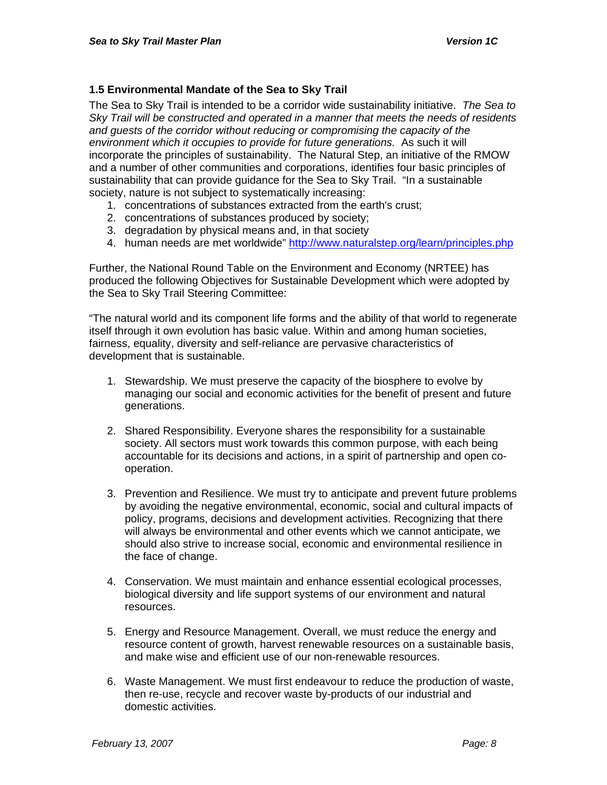## <span id="page-12-0"></span>**1.5 Environmental Mandate of the Sea to Sky Trail**

The Sea to Sky Trail is intended to be a corridor wide sustainability initiative. *The Sea to Sky Trail will be constructed and operated in a manner that meets the needs of residents and guests of the corridor without reducing or compromising the capacity of the environment which it occupies to provide for future generations.* As such it will incorporate the principles of sustainability. The Natural Step, an initiative of the RMOW and a number of other communities and corporations, identifies four basic principles of sustainability that can provide guidance for the Sea to Sky Trail. "In a sustainable society, nature is not subject to systematically increasing:

- 1. concentrations of substances extracted from the earth's crust;
- 2. concentrations of substances produced by society;
- 3. degradation by physical means and, in that society
- 4. human needs are met worldwide" <http://www.naturalstep.org/learn/principles.php>

Further, the National Round Table on the Environment and Economy (NRTEE) has produced the following Objectives for Sustainable Development which were adopted by the Sea to Sky Trail Steering Committee:

"The natural world and its component life forms and the ability of that world to regenerate itself through it own evolution has basic value. Within and among human societies, fairness, equality, diversity and self-reliance are pervasive characteristics of development that is sustainable.

- 1. Stewardship. We must preserve the capacity of the biosphere to evolve by managing our social and economic activities for the benefit of present and future generations.
- 2. Shared Responsibility. Everyone shares the responsibility for a sustainable society. All sectors must work towards this common purpose, with each being accountable for its decisions and actions, in a spirit of partnership and open cooperation.
- 3. Prevention and Resilience. We must try to anticipate and prevent future problems by avoiding the negative environmental, economic, social and cultural impacts of policy, programs, decisions and development activities. Recognizing that there will always be environmental and other events which we cannot anticipate, we should also strive to increase social, economic and environmental resilience in the face of change.
- 4. Conservation. We must maintain and enhance essential ecological processes, biological diversity and life support systems of our environment and natural resources.
- 5. Energy and Resource Management. Overall, we must reduce the energy and resource content of growth, harvest renewable resources on a sustainable basis, and make wise and efficient use of our non-renewable resources.
- 6. Waste Management. We must first endeavour to reduce the production of waste, then re-use, recycle and recover waste by-products of our industrial and domestic activities.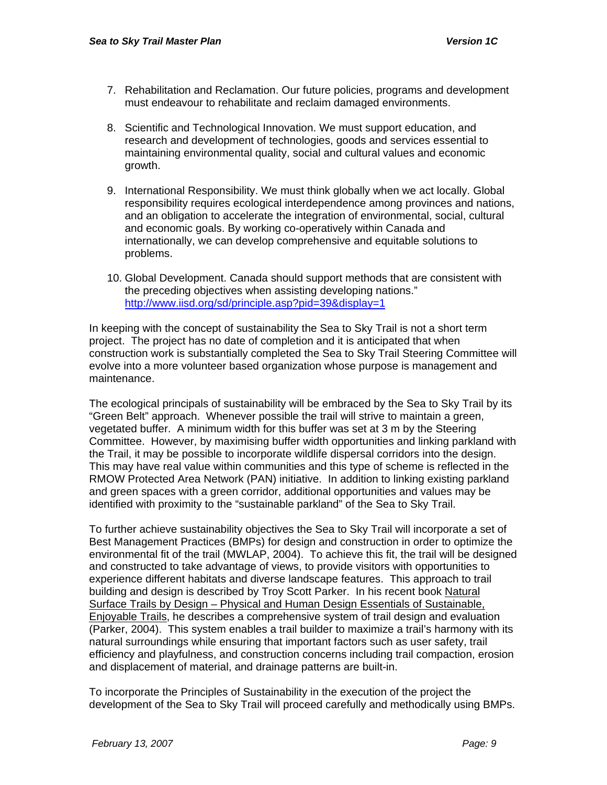- 7. Rehabilitation and Reclamation. Our future policies, programs and development must endeavour to rehabilitate and reclaim damaged environments.
- 8. Scientific and Technological Innovation. We must support education, and research and development of technologies, goods and services essential to maintaining environmental quality, social and cultural values and economic growth.
- 9. International Responsibility. We must think globally when we act locally. Global responsibility requires ecological interdependence among provinces and nations, and an obligation to accelerate the integration of environmental, social, cultural and economic goals. By working co-operatively within Canada and internationally, we can develop comprehensive and equitable solutions to problems.
- 10. Global Development. Canada should support methods that are consistent with the preceding objectives when assisting developing nations." <http://www.iisd.org/sd/principle.asp?pid=39&display=1>

In keeping with the concept of sustainability the Sea to Sky Trail is not a short term project. The project has no date of completion and it is anticipated that when construction work is substantially completed the Sea to Sky Trail Steering Committee will evolve into a more volunteer based organization whose purpose is management and maintenance.

The ecological principals of sustainability will be embraced by the Sea to Sky Trail by its "Green Belt" approach. Whenever possible the trail will strive to maintain a green, vegetated buffer. A minimum width for this buffer was set at 3 m by the Steering Committee. However, by maximising buffer width opportunities and linking parkland with the Trail, it may be possible to incorporate wildlife dispersal corridors into the design. This may have real value within communities and this type of scheme is reflected in the RMOW Protected Area Network (PAN) initiative. In addition to linking existing parkland and green spaces with a green corridor, additional opportunities and values may be identified with proximity to the "sustainable parkland" of the Sea to Sky Trail.

To further achieve sustainability objectives the Sea to Sky Trail will incorporate a set of Best Management Practices (BMPs) for design and construction in order to optimize the environmental fit of the trail (MWLAP, 2004). To achieve this fit, the trail will be designed and constructed to take advantage of views, to provide visitors with opportunities to experience different habitats and diverse landscape features. This approach to trail building and design is described by Troy Scott Parker. In his recent book Natural Surface Trails by Design – Physical and Human Design Essentials of Sustainable, Enjoyable Trails, he describes a comprehensive system of trail design and evaluation (Parker, 2004). This system enables a trail builder to maximize a trail's harmony with its natural surroundings while ensuring that important factors such as user safety, trail efficiency and playfulness, and construction concerns including trail compaction, erosion and displacement of material, and drainage patterns are built-in.

To incorporate the Principles of Sustainability in the execution of the project the development of the Sea to Sky Trail will proceed carefully and methodically using BMPs.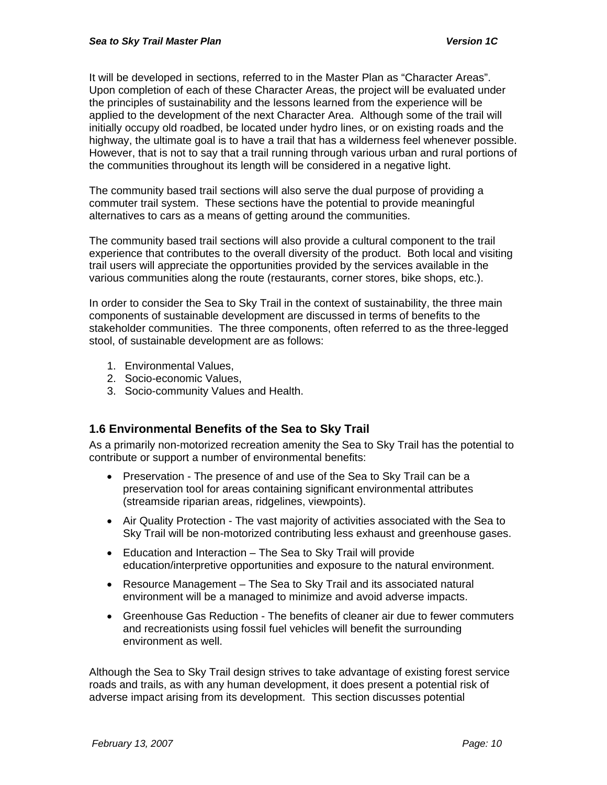<span id="page-14-0"></span>It will be developed in sections, referred to in the Master Plan as "Character Areas". Upon completion of each of these Character Areas, the project will be evaluated under the principles of sustainability and the lessons learned from the experience will be applied to the development of the next Character Area. Although some of the trail will initially occupy old roadbed, be located under hydro lines, or on existing roads and the highway, the ultimate goal is to have a trail that has a wilderness feel whenever possible. However, that is not to say that a trail running through various urban and rural portions of the communities throughout its length will be considered in a negative light.

The community based trail sections will also serve the dual purpose of providing a commuter trail system. These sections have the potential to provide meaningful alternatives to cars as a means of getting around the communities.

The community based trail sections will also provide a cultural component to the trail experience that contributes to the overall diversity of the product. Both local and visiting trail users will appreciate the opportunities provided by the services available in the various communities along the route (restaurants, corner stores, bike shops, etc.).

In order to consider the Sea to Sky Trail in the context of sustainability, the three main components of sustainable development are discussed in terms of benefits to the stakeholder communities. The three components, often referred to as the three-legged stool, of sustainable development are as follows:

- 1. Environmental Values,
- 2. Socio-economic Values,
- 3. Socio-community Values and Health.

## **1.6 Environmental Benefits of the Sea to Sky Trail**

As a primarily non-motorized recreation amenity the Sea to Sky Trail has the potential to contribute or support a number of environmental benefits:

- Preservation The presence of and use of the Sea to Sky Trail can be a preservation tool for areas containing significant environmental attributes (streamside riparian areas, ridgelines, viewpoints).
- Air Quality Protection The vast majority of activities associated with the Sea to Sky Trail will be non-motorized contributing less exhaust and greenhouse gases.
- Education and Interaction The Sea to Sky Trail will provide education/interpretive opportunities and exposure to the natural environment.
- Resource Management The Sea to Sky Trail and its associated natural environment will be a managed to minimize and avoid adverse impacts.
- Greenhouse Gas Reduction The benefits of cleaner air due to fewer commuters and recreationists using fossil fuel vehicles will benefit the surrounding environment as well.

Although the Sea to Sky Trail design strives to take advantage of existing forest service roads and trails, as with any human development, it does present a potential risk of adverse impact arising from its development. This section discusses potential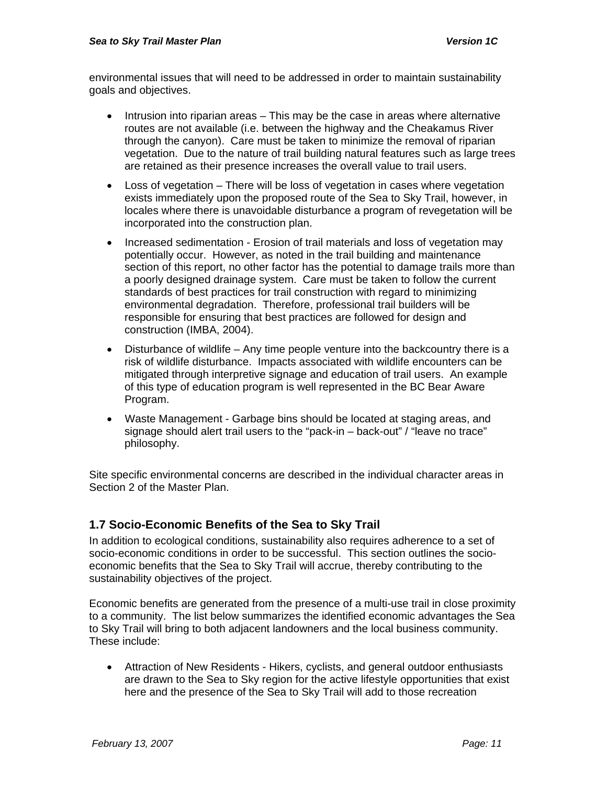<span id="page-15-0"></span>environmental issues that will need to be addressed in order to maintain sustainability goals and objectives.

- Intrusion into riparian areas This may be the case in areas where alternative routes are not available (i.e. between the highway and the Cheakamus River through the canyon). Care must be taken to minimize the removal of riparian vegetation. Due to the nature of trail building natural features such as large trees are retained as their presence increases the overall value to trail users.
- Loss of vegetation There will be loss of vegetation in cases where vegetation exists immediately upon the proposed route of the Sea to Sky Trail, however, in locales where there is unavoidable disturbance a program of revegetation will be incorporated into the construction plan.
- Increased sedimentation Erosion of trail materials and loss of vegetation may potentially occur. However, as noted in the trail building and maintenance section of this report, no other factor has the potential to damage trails more than a poorly designed drainage system. Care must be taken to follow the current standards of best practices for trail construction with regard to minimizing environmental degradation. Therefore, professional trail builders will be responsible for ensuring that best practices are followed for design and construction (IMBA, 2004).
- Disturbance of wildlife Any time people venture into the backcountry there is a risk of wildlife disturbance. Impacts associated with wildlife encounters can be mitigated through interpretive signage and education of trail users. An example of this type of education program is well represented in the BC Bear Aware Program.
- Waste Management Garbage bins should be located at staging areas, and signage should alert trail users to the "pack-in – back-out" / "leave no trace" philosophy.

Site specific environmental concerns are described in the individual character areas in Section 2 of the Master Plan.

## **1.7 Socio-Economic Benefits of the Sea to Sky Trail**

In addition to ecological conditions, sustainability also requires adherence to a set of socio-economic conditions in order to be successful. This section outlines the socioeconomic benefits that the Sea to Sky Trail will accrue, thereby contributing to the sustainability objectives of the project.

Economic benefits are generated from the presence of a multi-use trail in close proximity to a community. The list below summarizes the identified economic advantages the Sea to Sky Trail will bring to both adjacent landowners and the local business community. These include:

• Attraction of New Residents - Hikers, cyclists, and general outdoor enthusiasts are drawn to the Sea to Sky region for the active lifestyle opportunities that exist here and the presence of the Sea to Sky Trail will add to those recreation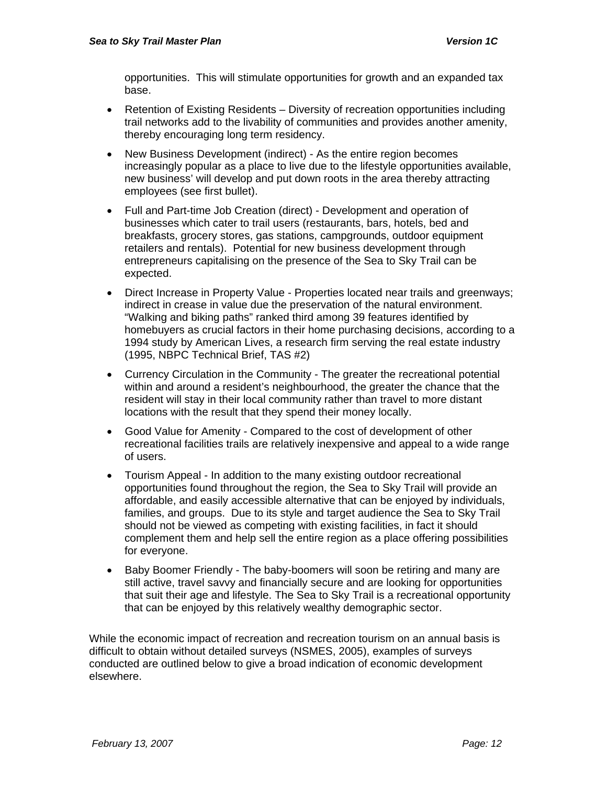opportunities. This will stimulate opportunities for growth and an expanded tax base.

- Retention of Existing Residents Diversity of recreation opportunities including trail networks add to the livability of communities and provides another amenity, thereby encouraging long term residency.
- New Business Development (indirect) As the entire region becomes increasingly popular as a place to live due to the lifestyle opportunities available, new business' will develop and put down roots in the area thereby attracting employees (see first bullet).
- Full and Part-time Job Creation (direct) Development and operation of businesses which cater to trail users (restaurants, bars, hotels, bed and breakfasts, grocery stores, gas stations, campgrounds, outdoor equipment retailers and rentals). Potential for new business development through entrepreneurs capitalising on the presence of the Sea to Sky Trail can be expected.
- Direct Increase in Property Value Properties located near trails and greenways; indirect in crease in value due the preservation of the natural environment. "Walking and biking paths" ranked third among 39 features identified by homebuyers as crucial factors in their home purchasing decisions, according to a 1994 study by American Lives, a research firm serving the real estate industry (1995, NBPC Technical Brief, TAS #2)
- Currency Circulation in the Community The greater the recreational potential within and around a resident's neighbourhood, the greater the chance that the resident will stay in their local community rather than travel to more distant locations with the result that they spend their money locally.
- Good Value for Amenity Compared to the cost of development of other recreational facilities trails are relatively inexpensive and appeal to a wide range of users.
- Tourism Appeal In addition to the many existing outdoor recreational opportunities found throughout the region, the Sea to Sky Trail will provide an affordable, and easily accessible alternative that can be enjoyed by individuals, families, and groups. Due to its style and target audience the Sea to Sky Trail should not be viewed as competing with existing facilities, in fact it should complement them and help sell the entire region as a place offering possibilities for everyone.
- Baby Boomer Friendly The baby-boomers will soon be retiring and many are still active, travel savvy and financially secure and are looking for opportunities that suit their age and lifestyle. The Sea to Sky Trail is a recreational opportunity that can be enjoyed by this relatively wealthy demographic sector.

While the economic impact of recreation and recreation tourism on an annual basis is difficult to obtain without detailed surveys (NSMES, 2005), examples of surveys conducted are outlined below to give a broad indication of economic development elsewhere.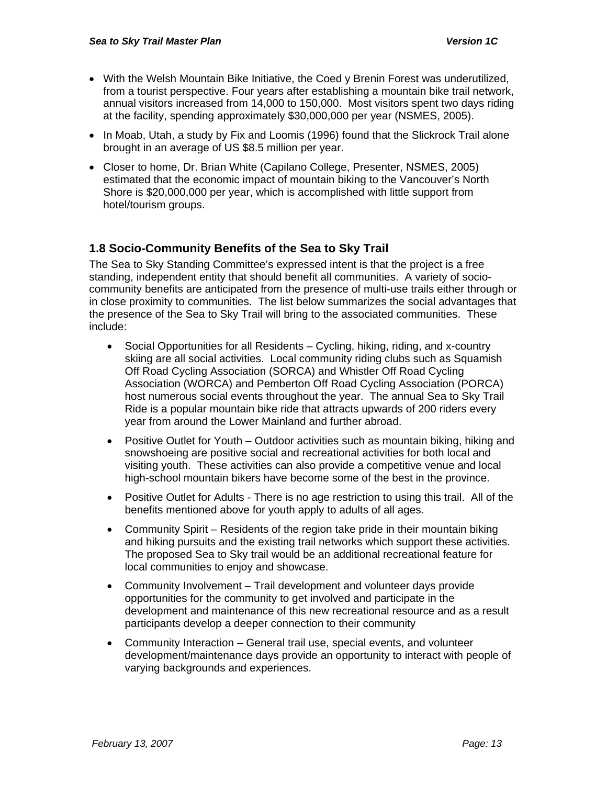- <span id="page-17-0"></span>• With the Welsh Mountain Bike Initiative, the Coed y Brenin Forest was underutilized, from a tourist perspective. Four years after establishing a mountain bike trail network, annual visitors increased from 14,000 to 150,000. Most visitors spent two days riding at the facility, spending approximately \$30,000,000 per year (NSMES, 2005).
- In Moab, Utah, a study by Fix and Loomis (1996) found that the Slickrock Trail alone brought in an average of US \$8.5 million per year.
- Closer to home, Dr. Brian White (Capilano College, Presenter, NSMES, 2005) estimated that the economic impact of mountain biking to the Vancouver's North Shore is \$20,000,000 per year, which is accomplished with little support from hotel/tourism groups.

## **1.8 Socio-Community Benefits of the Sea to Sky Trail**

The Sea to Sky Standing Committee's expressed intent is that the project is a free standing, independent entity that should benefit all communities. A variety of sociocommunity benefits are anticipated from the presence of multi-use trails either through or in close proximity to communities. The list below summarizes the social advantages that the presence of the Sea to Sky Trail will bring to the associated communities. These include:

- Social Opportunities for all Residents Cycling, hiking, riding, and x-country skiing are all social activities. Local community riding clubs such as Squamish Off Road Cycling Association (SORCA) and Whistler Off Road Cycling Association (WORCA) and Pemberton Off Road Cycling Association (PORCA) host numerous social events throughout the year. The annual Sea to Sky Trail Ride is a popular mountain bike ride that attracts upwards of 200 riders every year from around the Lower Mainland and further abroad.
- Positive Outlet for Youth Outdoor activities such as mountain biking, hiking and snowshoeing are positive social and recreational activities for both local and visiting youth. These activities can also provide a competitive venue and local high-school mountain bikers have become some of the best in the province.
- Positive Outlet for Adults There is no age restriction to using this trail. All of the benefits mentioned above for youth apply to adults of all ages.
- Community Spirit Residents of the region take pride in their mountain biking and hiking pursuits and the existing trail networks which support these activities. The proposed Sea to Sky trail would be an additional recreational feature for local communities to enjoy and showcase.
- Community Involvement Trail development and volunteer days provide opportunities for the community to get involved and participate in the development and maintenance of this new recreational resource and as a result participants develop a deeper connection to their community
- Community Interaction General trail use, special events, and volunteer development/maintenance days provide an opportunity to interact with people of varying backgrounds and experiences.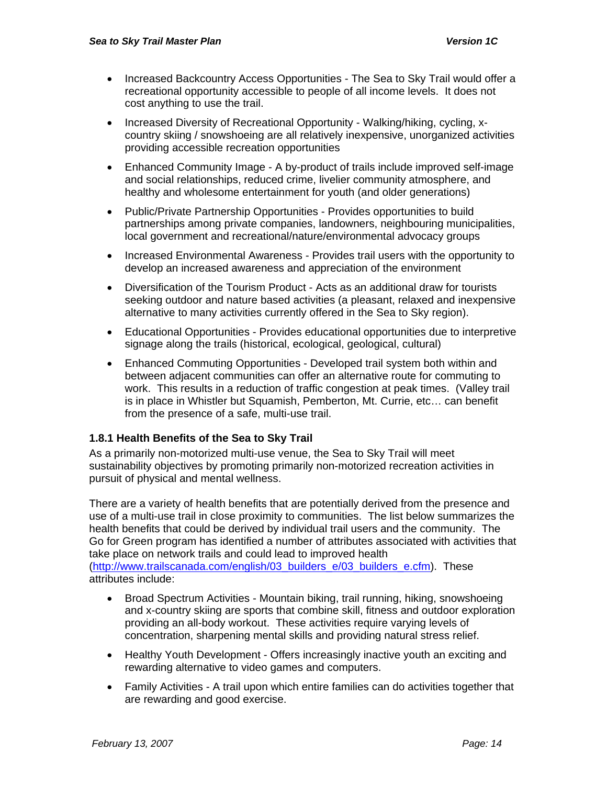- <span id="page-18-0"></span>• Increased Backcountry Access Opportunities - The Sea to Sky Trail would offer a recreational opportunity accessible to people of all income levels. It does not cost anything to use the trail.
- Increased Diversity of Recreational Opportunity Walking/hiking, cycling, xcountry skiing / snowshoeing are all relatively inexpensive, unorganized activities providing accessible recreation opportunities
- Enhanced Community Image A by-product of trails include improved self-image and social relationships, reduced crime, livelier community atmosphere, and healthy and wholesome entertainment for youth (and older generations)
- Public/Private Partnership Opportunities Provides opportunities to build partnerships among private companies, landowners, neighbouring municipalities, local government and recreational/nature/environmental advocacy groups
- Increased Environmental Awareness Provides trail users with the opportunity to develop an increased awareness and appreciation of the environment
- Diversification of the Tourism Product Acts as an additional draw for tourists seeking outdoor and nature based activities (a pleasant, relaxed and inexpensive alternative to many activities currently offered in the Sea to Sky region).
- Educational Opportunities Provides educational opportunities due to interpretive signage along the trails (historical, ecological, geological, cultural)
- Enhanced Commuting Opportunities Developed trail system both within and between adjacent communities can offer an alternative route for commuting to work. This results in a reduction of traffic congestion at peak times. (Valley trail is in place in Whistler but Squamish, Pemberton, Mt. Currie, etc… can benefit from the presence of a safe, multi-use trail.

## **1.8.1 Health Benefits of the Sea to Sky Trail**

As a primarily non-motorized multi-use venue, the Sea to Sky Trail will meet sustainability objectives by promoting primarily non-motorized recreation activities in pursuit of physical and mental wellness.

There are a variety of health benefits that are potentially derived from the presence and use of a multi-use trail in close proximity to communities. The list below summarizes the health benefits that could be derived by individual trail users and the community. The Go for Green program has identified a number of attributes associated with activities that take place on network trails and could lead to improved health

([http://www.trailscanada.com/english/03\\_builders\\_e/03\\_builders\\_e.cfm](http://www.trailscanada.com/english/03_builders_e/03_builders_e.cfm)). These attributes include:

- Broad Spectrum Activities Mountain biking, trail running, hiking, snowshoeing and x-country skiing are sports that combine skill, fitness and outdoor exploration providing an all-body workout. These activities require varying levels of concentration, sharpening mental skills and providing natural stress relief.
- Healthy Youth Development Offers increasingly inactive youth an exciting and rewarding alternative to video games and computers.
- Family Activities A trail upon which entire families can do activities together that are rewarding and good exercise.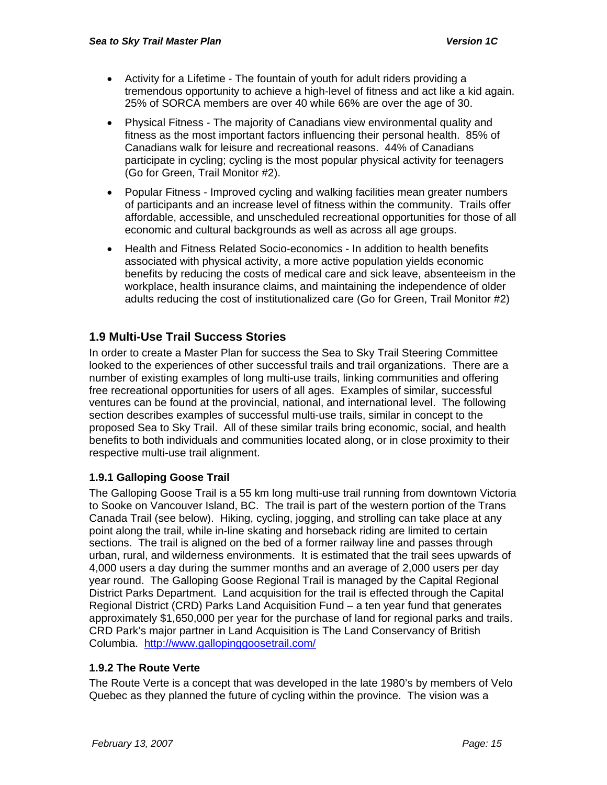- <span id="page-19-0"></span>• Activity for a Lifetime - The fountain of youth for adult riders providing a tremendous opportunity to achieve a high-level of fitness and act like a kid again. 25% of SORCA members are over 40 while 66% are over the age of 30.
- Physical Fitness The majority of Canadians view environmental quality and fitness as the most important factors influencing their personal health. 85% of Canadians walk for leisure and recreational reasons. 44% of Canadians participate in cycling; cycling is the most popular physical activity for teenagers (Go for Green, Trail Monitor #2).
- Popular Fitness Improved cycling and walking facilities mean greater numbers of participants and an increase level of fitness within the community. Trails offer affordable, accessible, and unscheduled recreational opportunities for those of all economic and cultural backgrounds as well as across all age groups.
- Health and Fitness Related Socio-economics In addition to health benefits associated with physical activity, a more active population yields economic benefits by reducing the costs of medical care and sick leave, absenteeism in the workplace, health insurance claims, and maintaining the independence of older adults reducing the cost of institutionalized care (Go for Green, Trail Monitor #2)

## **1.9 Multi-Use Trail Success Stories**

In order to create a Master Plan for success the Sea to Sky Trail Steering Committee looked to the experiences of other successful trails and trail organizations. There are a number of existing examples of long multi-use trails, linking communities and offering free recreational opportunities for users of all ages. Examples of similar, successful ventures can be found at the provincial, national, and international level. The following section describes examples of successful multi-use trails, similar in concept to the proposed Sea to Sky Trail. All of these similar trails bring economic, social, and health benefits to both individuals and communities located along, or in close proximity to their respective multi-use trail alignment.

## **1.9.1 Galloping Goose Trail**

The Galloping Goose Trail is a 55 km long multi-use trail running from downtown Victoria to Sooke on Vancouver Island, BC. The trail is part of the western portion of the Trans Canada Trail (see below). Hiking, cycling, jogging, and strolling can take place at any point along the trail, while in-line skating and horseback riding are limited to certain sections. The trail is aligned on the bed of a former railway line and passes through urban, rural, and wilderness environments. It is estimated that the trail sees upwards of 4,000 users a day during the summer months and an average of 2,000 users per day year round. The Galloping Goose Regional Trail is managed by the Capital Regional District Parks Department. Land acquisition for the trail is effected through the Capital Regional District (CRD) Parks Land Acquisition Fund – a ten year fund that generates approximately \$1,650,000 per year for the purchase of land for regional parks and trails. CRD Park's major partner in Land Acquisition is The Land Conservancy of British Columbia. <http://www.gallopinggoosetrail.com/>

## **1.9.2 The Route Verte**

The Route Verte is a concept that was developed in the late 1980's by members of Velo Quebec as they planned the future of cycling within the province. The vision was a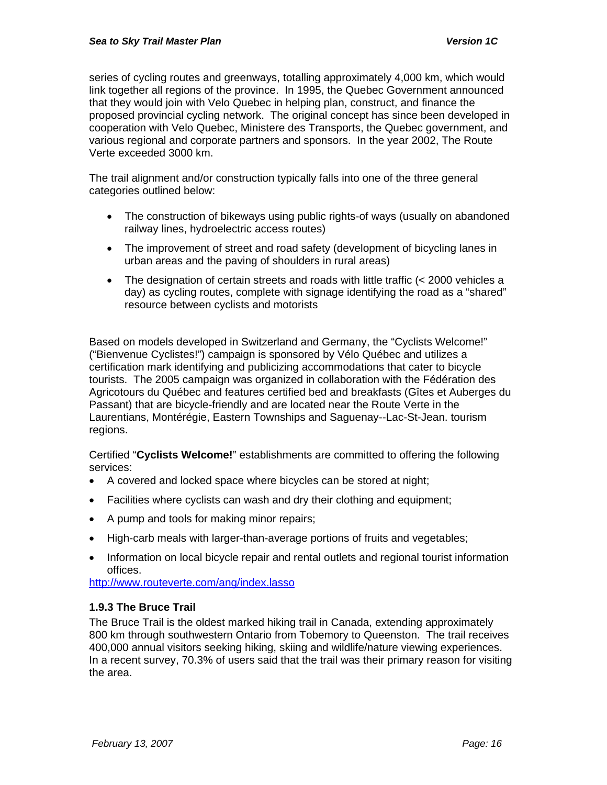<span id="page-20-0"></span>series of cycling routes and greenways, totalling approximately 4,000 km, which would link together all regions of the province. In 1995, the Quebec Government announced that they would join with Velo Quebec in helping plan, construct, and finance the proposed provincial cycling network. The original concept has since been developed in cooperation with Velo Quebec, Ministere des Transports, the Quebec government, and various regional and corporate partners and sponsors. In the year 2002, The Route Verte exceeded 3000 km.

The trail alignment and/or construction typically falls into one of the three general categories outlined below:

- The construction of bikeways using public rights-of ways (usually on abandoned railway lines, hydroelectric access routes)
- The improvement of street and road safety (development of bicycling lanes in urban areas and the paving of shoulders in rural areas)
- The designation of certain streets and roads with little traffic (< 2000 vehicles a day) as cycling routes, complete with signage identifying the road as a "shared" resource between cyclists and motorists

Based on models developed in Switzerland and Germany, the "Cyclists Welcome!" ("Bienvenue Cyclistes!") campaign is sponsored by Vélo Québec and utilizes a certification mark identifying and publicizing accommodations that cater to bicycle tourists. The 2005 campaign was organized in collaboration with the Fédération des Agricotours du Québec and features certified bed and breakfasts (Gîtes et Auberges du Passant) that are bicycle-friendly and are located near the Route Verte in the Laurentians, Montérégie, Eastern Townships and Saguenay--Lac-St-Jean. tourism regions.

Certified "**Cyclists Welcome!**" establishments are committed to offering the following services:

- A covered and locked space where bicycles can be stored at night;
- Facilities where cyclists can wash and dry their clothing and equipment;
- A pump and tools for making minor repairs;
- High-carb meals with larger-than-average portions of fruits and vegetables;
- Information on local bicycle repair and rental outlets and regional tourist information offices.

<http://www.routeverte.com/ang/index.lasso>

## **1.9.3 The Bruce Trail**

The Bruce Trail is the oldest marked hiking trail in Canada, extending approximately 800 km through southwestern Ontario from Tobemory to Queenston. The trail receives 400,000 annual visitors seeking hiking, skiing and wildlife/nature viewing experiences. In a recent survey, 70.3% of users said that the trail was their primary reason for visiting the area.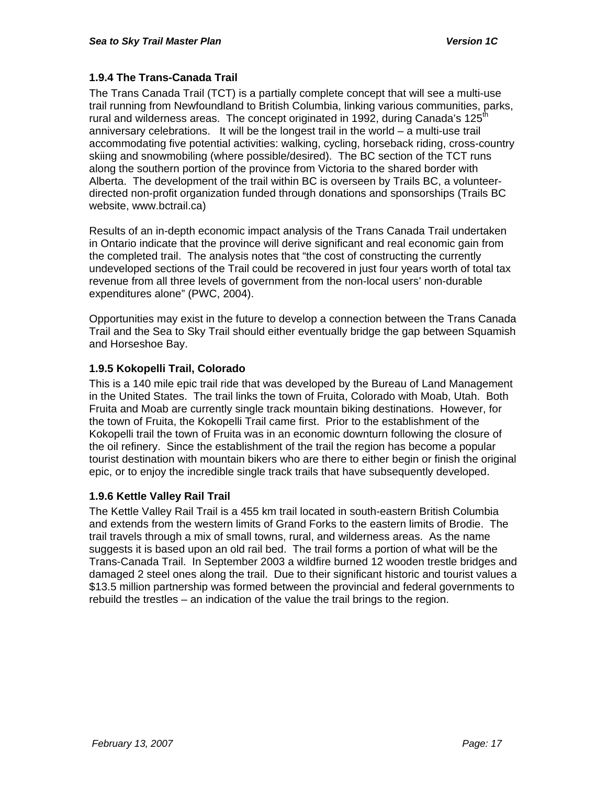## <span id="page-21-0"></span>**1.9.4 The Trans-Canada Trail**

The Trans Canada Trail (TCT) is a partially complete concept that will see a multi-use trail running from Newfoundland to British Columbia, linking various communities, parks, rural and wilderness areas. The concept originated in 1992, during Canada's 125 $<sup>th</sup>$ </sup> anniversary celebrations. It will be the longest trail in the world  $-$  a multi-use trail accommodating five potential activities: walking, cycling, horseback riding, cross-country skiing and snowmobiling (where possible/desired). The BC section of the TCT runs along the southern portion of the province from Victoria to the shared border with Alberta. The development of the trail within BC is overseen by Trails BC, a volunteerdirected non-profit organization funded through donations and sponsorships (Trails BC website, www.bctrail.ca)

Results of an in-depth economic impact analysis of the Trans Canada Trail undertaken in Ontario indicate that the province will derive significant and real economic gain from the completed trail. The analysis notes that "the cost of constructing the currently undeveloped sections of the Trail could be recovered in just four years worth of total tax revenue from all three levels of government from the non-local users' non-durable expenditures alone" (PWC, 2004).

Opportunities may exist in the future to develop a connection between the Trans Canada Trail and the Sea to Sky Trail should either eventually bridge the gap between Squamish and Horseshoe Bay.

## **1.9.5 Kokopelli Trail, Colorado**

This is a 140 mile epic trail ride that was developed by the Bureau of Land Management in the United States. The trail links the town of Fruita, Colorado with Moab, Utah. Both Fruita and Moab are currently single track mountain biking destinations. However, for the town of Fruita, the Kokopelli Trail came first. Prior to the establishment of the Kokopelli trail the town of Fruita was in an economic downturn following the closure of the oil refinery. Since the establishment of the trail the region has become a popular tourist destination with mountain bikers who are there to either begin or finish the original epic, or to enjoy the incredible single track trails that have subsequently developed.

## **1.9.6 Kettle Valley Rail Trail**

The Kettle Valley Rail Trail is a 455 km trail located in south-eastern British Columbia and extends from the western limits of Grand Forks to the eastern limits of Brodie. The trail travels through a mix of small towns, rural, and wilderness areas. As the name suggests it is based upon an old rail bed. The trail forms a portion of what will be the Trans-Canada Trail. In September 2003 a wildfire burned 12 wooden trestle bridges and damaged 2 steel ones along the trail. Due to their significant historic and tourist values a \$13.5 million partnership was formed between the provincial and federal governments to rebuild the trestles – an indication of the value the trail brings to the region.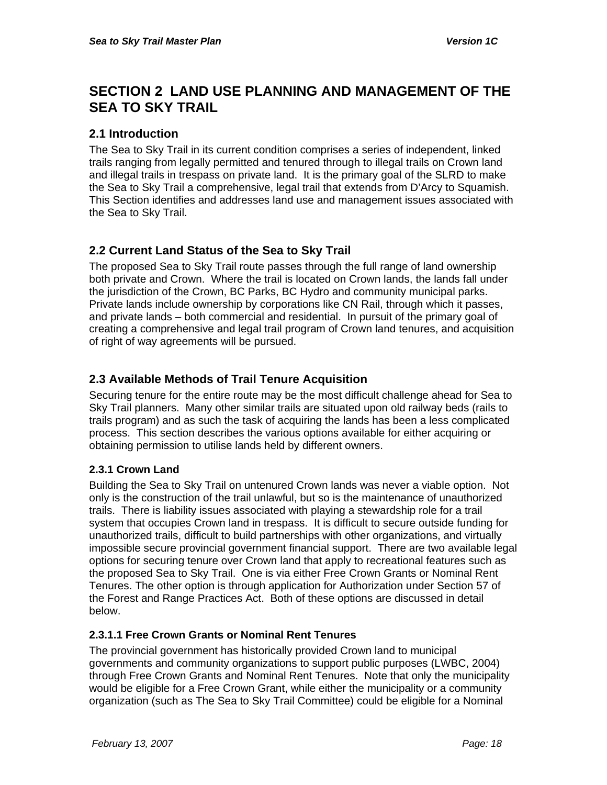# <span id="page-22-0"></span>**SECTION 2 LAND USE PLANNING AND MANAGEMENT OF THE SEA TO SKY TRAIL**

## **2.1 Introduction**

The Sea to Sky Trail in its current condition comprises a series of independent, linked trails ranging from legally permitted and tenured through to illegal trails on Crown land and illegal trails in trespass on private land. It is the primary goal of the SLRD to make the Sea to Sky Trail a comprehensive, legal trail that extends from D'Arcy to Squamish. This Section identifies and addresses land use and management issues associated with the Sea to Sky Trail.

## **2.2 Current Land Status of the Sea to Sky Trail**

The proposed Sea to Sky Trail route passes through the full range of land ownership both private and Crown. Where the trail is located on Crown lands, the lands fall under the jurisdiction of the Crown, BC Parks, BC Hydro and community municipal parks. Private lands include ownership by corporations like CN Rail, through which it passes, and private lands – both commercial and residential. In pursuit of the primary goal of creating a comprehensive and legal trail program of Crown land tenures, and acquisition of right of way agreements will be pursued.

## **2.3 Available Methods of Trail Tenure Acquisition**

Securing tenure for the entire route may be the most difficult challenge ahead for Sea to Sky Trail planners. Many other similar trails are situated upon old railway beds (rails to trails program) and as such the task of acquiring the lands has been a less complicated process. This section describes the various options available for either acquiring or obtaining permission to utilise lands held by different owners.

## **2.3.1 Crown Land**

Building the Sea to Sky Trail on untenured Crown lands was never a viable option. Not only is the construction of the trail unlawful, but so is the maintenance of unauthorized trails. There is liability issues associated with playing a stewardship role for a trail system that occupies Crown land in trespass. It is difficult to secure outside funding for unauthorized trails, difficult to build partnerships with other organizations, and virtually impossible secure provincial government financial support. There are two available legal options for securing tenure over Crown land that apply to recreational features such as the proposed Sea to Sky Trail. One is via either Free Crown Grants or Nominal Rent Tenures. The other option is through application for Authorization under Section 57 of the Forest and Range Practices Act. Both of these options are discussed in detail below.

## **2.3.1.1 Free Crown Grants or Nominal Rent Tenures**

The provincial government has historically provided Crown land to municipal governments and community organizations to support public purposes (LWBC, 2004) through Free Crown Grants and Nominal Rent Tenures. Note that only the municipality would be eligible for a Free Crown Grant, while either the municipality or a community organization (such as The Sea to Sky Trail Committee) could be eligible for a Nominal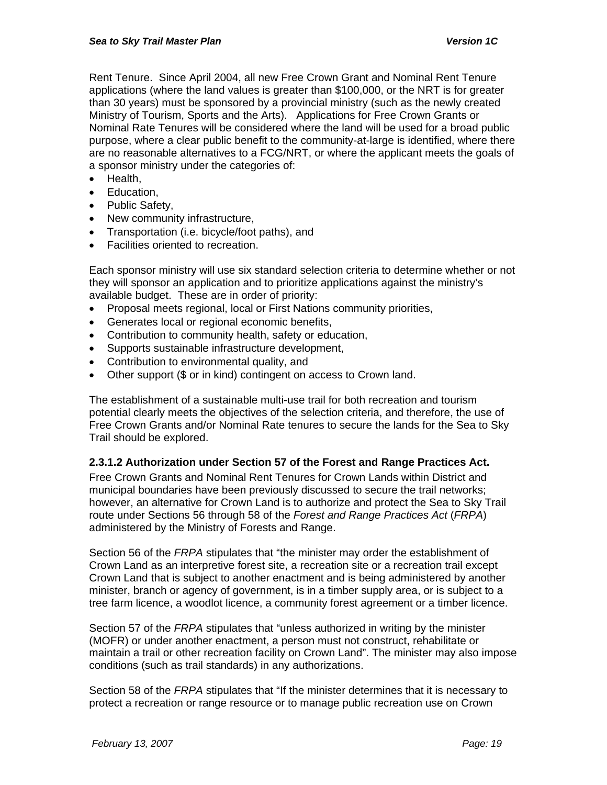Rent Tenure. Since April 2004, all new Free Crown Grant and Nominal Rent Tenure applications (where the land values is greater than \$100,000, or the NRT is for greater than 30 years) must be sponsored by a provincial ministry (such as the newly created Ministry of Tourism, Sports and the Arts). Applications for Free Crown Grants or Nominal Rate Tenures will be considered where the land will be used for a broad public purpose, where a clear public benefit to the community-at-large is identified, where there are no reasonable alternatives to a FCG/NRT, or where the applicant meets the goals of a sponsor ministry under the categories of:

- Health,
- Education,
- Public Safety,
- New community infrastructure,
- Transportation (i.e. bicycle/foot paths), and
- Facilities oriented to recreation.

Each sponsor ministry will use six standard selection criteria to determine whether or not they will sponsor an application and to prioritize applications against the ministry's available budget. These are in order of priority:

- Proposal meets regional, local or First Nations community priorities,
- Generates local or regional economic benefits,
- Contribution to community health, safety or education,
- Supports sustainable infrastructure development,
- Contribution to environmental quality, and
- Other support (\$ or in kind) contingent on access to Crown land.

The establishment of a sustainable multi-use trail for both recreation and tourism potential clearly meets the objectives of the selection criteria, and therefore, the use of Free Crown Grants and/or Nominal Rate tenures to secure the lands for the Sea to Sky Trail should be explored.

## **2.3.1.2 Authorization under Section 57 of the Forest and Range Practices Act.**

Free Crown Grants and Nominal Rent Tenures for Crown Lands within District and municipal boundaries have been previously discussed to secure the trail networks; however, an alternative for Crown Land is to authorize and protect the Sea to Sky Trail route under Sections 56 through 58 of the *Forest and Range Practices Act* (*FRPA*) administered by the Ministry of Forests and Range.

Section 56 of the *FRPA* stipulates that "the minister may order the establishment of Crown Land as an interpretive forest site, a recreation site or a recreation trail except Crown Land that is subject to another enactment and is being administered by another minister, branch or agency of government, is in a timber supply area, or is subject to a tree farm licence, a woodlot licence, a community forest agreement or a timber licence.

Section 57 of the *FRPA* stipulates that "unless authorized in writing by the minister (MOFR) or under another enactment, a person must not construct, rehabilitate or maintain a trail or other recreation facility on Crown Land". The minister may also impose conditions (such as trail standards) in any authorizations.

Section 58 of the *FRPA* stipulates that "If the minister determines that it is necessary to protect a recreation or range resource or to manage public recreation use on Crown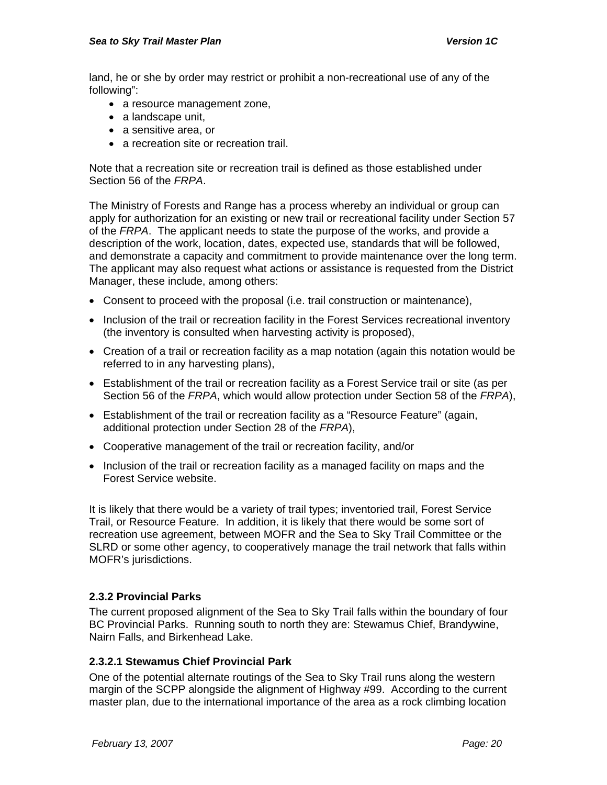<span id="page-24-0"></span>land, he or she by order may restrict or prohibit a non-recreational use of any of the following":

- a resource management zone,
- a landscape unit,
- a sensitive area, or
- a recreation site or recreation trail.

Note that a recreation site or recreation trail is defined as those established under Section 56 of the *FRPA*.

The Ministry of Forests and Range has a process whereby an individual or group can apply for authorization for an existing or new trail or recreational facility under Section 57 of the *FRPA*. The applicant needs to state the purpose of the works, and provide a description of the work, location, dates, expected use, standards that will be followed, and demonstrate a capacity and commitment to provide maintenance over the long term. The applicant may also request what actions or assistance is requested from the District Manager, these include, among others:

- Consent to proceed with the proposal (i.e. trail construction or maintenance),
- Inclusion of the trail or recreation facility in the Forest Services recreational inventory (the inventory is consulted when harvesting activity is proposed),
- Creation of a trail or recreation facility as a map notation (again this notation would be referred to in any harvesting plans),
- Establishment of the trail or recreation facility as a Forest Service trail or site (as per Section 56 of the *FRPA*, which would allow protection under Section 58 of the *FRPA*),
- Establishment of the trail or recreation facility as a "Resource Feature" (again, additional protection under Section 28 of the *FRPA*),
- Cooperative management of the trail or recreation facility, and/or
- Inclusion of the trail or recreation facility as a managed facility on maps and the Forest Service website.

It is likely that there would be a variety of trail types; inventoried trail, Forest Service Trail, or Resource Feature. In addition, it is likely that there would be some sort of recreation use agreement, between MOFR and the Sea to Sky Trail Committee or the SLRD or some other agency, to cooperatively manage the trail network that falls within MOFR's jurisdictions.

## **2.3.2 Provincial Parks**

The current proposed alignment of the Sea to Sky Trail falls within the boundary of four BC Provincial Parks. Running south to north they are: Stewamus Chief, Brandywine, Nairn Falls, and Birkenhead Lake.

## **2.3.2.1 Stewamus Chief Provincial Park**

One of the potential alternate routings of the Sea to Sky Trail runs along the western margin of the SCPP alongside the alignment of Highway #99. According to the current master plan, due to the international importance of the area as a rock climbing location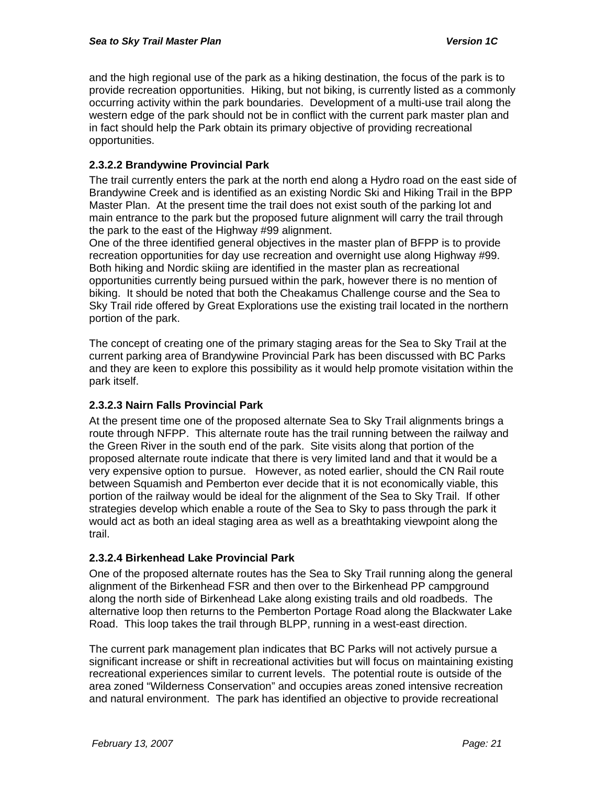and the high regional use of the park as a hiking destination, the focus of the park is to provide recreation opportunities. Hiking, but not biking, is currently listed as a commonly occurring activity within the park boundaries. Development of a multi-use trail along the western edge of the park should not be in conflict with the current park master plan and in fact should help the Park obtain its primary objective of providing recreational opportunities.

## **2.3.2.2 Brandywine Provincial Park**

The trail currently enters the park at the north end along a Hydro road on the east side of Brandywine Creek and is identified as an existing Nordic Ski and Hiking Trail in the BPP Master Plan. At the present time the trail does not exist south of the parking lot and main entrance to the park but the proposed future alignment will carry the trail through the park to the east of the Highway #99 alignment.

One of the three identified general objectives in the master plan of BFPP is to provide recreation opportunities for day use recreation and overnight use along Highway #99. Both hiking and Nordic skiing are identified in the master plan as recreational opportunities currently being pursued within the park, however there is no mention of biking. It should be noted that both the Cheakamus Challenge course and the Sea to Sky Trail ride offered by Great Explorations use the existing trail located in the northern portion of the park.

The concept of creating one of the primary staging areas for the Sea to Sky Trail at the current parking area of Brandywine Provincial Park has been discussed with BC Parks and they are keen to explore this possibility as it would help promote visitation within the park itself.

## **2.3.2.3 Nairn Falls Provincial Park**

At the present time one of the proposed alternate Sea to Sky Trail alignments brings a route through NFPP. This alternate route has the trail running between the railway and the Green River in the south end of the park. Site visits along that portion of the proposed alternate route indicate that there is very limited land and that it would be a very expensive option to pursue. However, as noted earlier, should the CN Rail route between Squamish and Pemberton ever decide that it is not economically viable, this portion of the railway would be ideal for the alignment of the Sea to Sky Trail. If other strategies develop which enable a route of the Sea to Sky to pass through the park it would act as both an ideal staging area as well as a breathtaking viewpoint along the trail.

## **2.3.2.4 Birkenhead Lake Provincial Park**

One of the proposed alternate routes has the Sea to Sky Trail running along the general alignment of the Birkenhead FSR and then over to the Birkenhead PP campground along the north side of Birkenhead Lake along existing trails and old roadbeds. The alternative loop then returns to the Pemberton Portage Road along the Blackwater Lake Road. This loop takes the trail through BLPP, running in a west-east direction.

The current park management plan indicates that BC Parks will not actively pursue a significant increase or shift in recreational activities but will focus on maintaining existing recreational experiences similar to current levels. The potential route is outside of the area zoned "Wilderness Conservation" and occupies areas zoned intensive recreation and natural environment. The park has identified an objective to provide recreational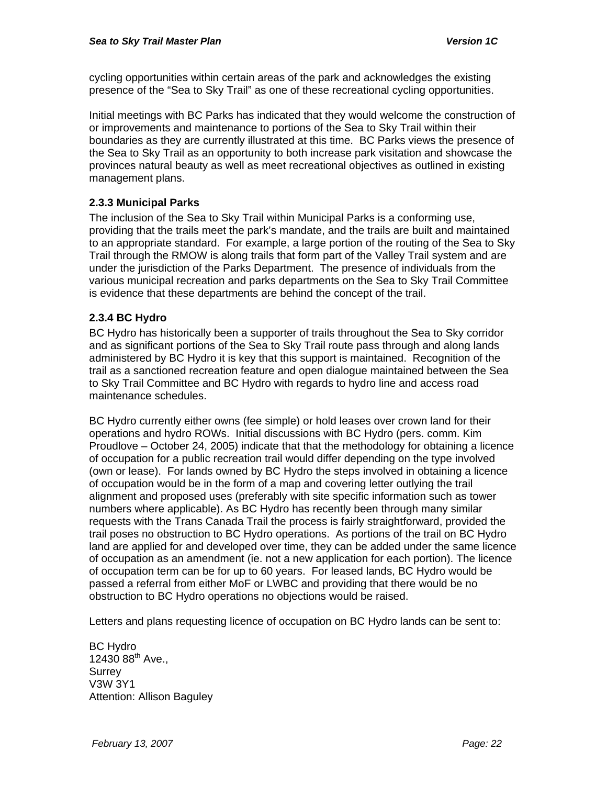<span id="page-26-0"></span>cycling opportunities within certain areas of the park and acknowledges the existing presence of the "Sea to Sky Trail" as one of these recreational cycling opportunities.

Initial meetings with BC Parks has indicated that they would welcome the construction of or improvements and maintenance to portions of the Sea to Sky Trail within their boundaries as they are currently illustrated at this time. BC Parks views the presence of the Sea to Sky Trail as an opportunity to both increase park visitation and showcase the provinces natural beauty as well as meet recreational objectives as outlined in existing management plans.

## **2.3.3 Municipal Parks**

The inclusion of the Sea to Sky Trail within Municipal Parks is a conforming use, providing that the trails meet the park's mandate, and the trails are built and maintained to an appropriate standard. For example, a large portion of the routing of the Sea to Sky Trail through the RMOW is along trails that form part of the Valley Trail system and are under the jurisdiction of the Parks Department. The presence of individuals from the various municipal recreation and parks departments on the Sea to Sky Trail Committee is evidence that these departments are behind the concept of the trail.

## **2.3.4 BC Hydro**

BC Hydro has historically been a supporter of trails throughout the Sea to Sky corridor and as significant portions of the Sea to Sky Trail route pass through and along lands administered by BC Hydro it is key that this support is maintained. Recognition of the trail as a sanctioned recreation feature and open dialogue maintained between the Sea to Sky Trail Committee and BC Hydro with regards to hydro line and access road maintenance schedules.

BC Hydro currently either owns (fee simple) or hold leases over crown land for their operations and hydro ROWs. Initial discussions with BC Hydro (pers. comm. Kim Proudlove – October 24, 2005) indicate that that the methodology for obtaining a licence of occupation for a public recreation trail would differ depending on the type involved (own or lease). For lands owned by BC Hydro the steps involved in obtaining a licence of occupation would be in the form of a map and covering letter outlying the trail alignment and proposed uses (preferably with site specific information such as tower numbers where applicable). As BC Hydro has recently been through many similar requests with the Trans Canada Trail the process is fairly straightforward, provided the trail poses no obstruction to BC Hydro operations. As portions of the trail on BC Hydro land are applied for and developed over time, they can be added under the same licence of occupation as an amendment (ie. not a new application for each portion). The licence of occupation term can be for up to 60 years. For leased lands, BC Hydro would be passed a referral from either MoF or LWBC and providing that there would be no obstruction to BC Hydro operations no objections would be raised.

Letters and plans requesting licence of occupation on BC Hydro lands can be sent to:

BC Hydro 12430  $88^{th}$  Ave., **Surrey** V3W 3Y1 Attention: Allison Baguley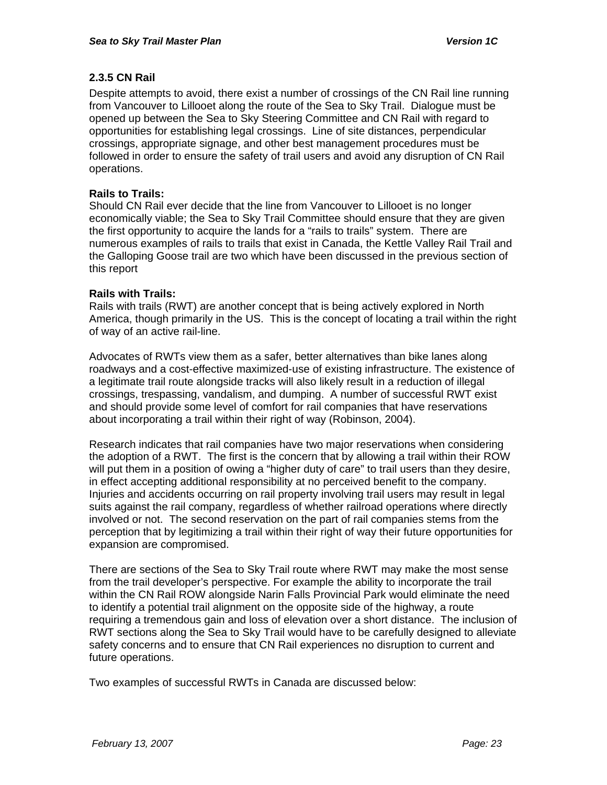## <span id="page-27-0"></span>**2.3.5 CN Rail**

Despite attempts to avoid, there exist a number of crossings of the CN Rail line running from Vancouver to Lillooet along the route of the Sea to Sky Trail. Dialogue must be opened up between the Sea to Sky Steering Committee and CN Rail with regard to opportunities for establishing legal crossings. Line of site distances, perpendicular crossings, appropriate signage, and other best management procedures must be followed in order to ensure the safety of trail users and avoid any disruption of CN Rail operations.

## **Rails to Trails:**

Should CN Rail ever decide that the line from Vancouver to Lillooet is no longer economically viable; the Sea to Sky Trail Committee should ensure that they are given the first opportunity to acquire the lands for a "rails to trails" system. There are numerous examples of rails to trails that exist in Canada, the Kettle Valley Rail Trail and the Galloping Goose trail are two which have been discussed in the previous section of this report

## **Rails with Trails:**

Rails with trails (RWT) are another concept that is being actively explored in North America, though primarily in the US. This is the concept of locating a trail within the right of way of an active rail-line.

Advocates of RWTs view them as a safer, better alternatives than bike lanes along roadways and a cost-effective maximized-use of existing infrastructure. The existence of a legitimate trail route alongside tracks will also likely result in a reduction of illegal crossings, trespassing, vandalism, and dumping. A number of successful RWT exist and should provide some level of comfort for rail companies that have reservations about incorporating a trail within their right of way (Robinson, 2004).

Research indicates that rail companies have two major reservations when considering the adoption of a RWT. The first is the concern that by allowing a trail within their ROW will put them in a position of owing a "higher duty of care" to trail users than they desire, in effect accepting additional responsibility at no perceived benefit to the company. Injuries and accidents occurring on rail property involving trail users may result in legal suits against the rail company, regardless of whether railroad operations where directly involved or not. The second reservation on the part of rail companies stems from the perception that by legitimizing a trail within their right of way their future opportunities for expansion are compromised.

There are sections of the Sea to Sky Trail route where RWT may make the most sense from the trail developer's perspective. For example the ability to incorporate the trail within the CN Rail ROW alongside Narin Falls Provincial Park would eliminate the need to identify a potential trail alignment on the opposite side of the highway, a route requiring a tremendous gain and loss of elevation over a short distance. The inclusion of RWT sections along the Sea to Sky Trail would have to be carefully designed to alleviate safety concerns and to ensure that CN Rail experiences no disruption to current and future operations.

Two examples of successful RWTs in Canada are discussed below: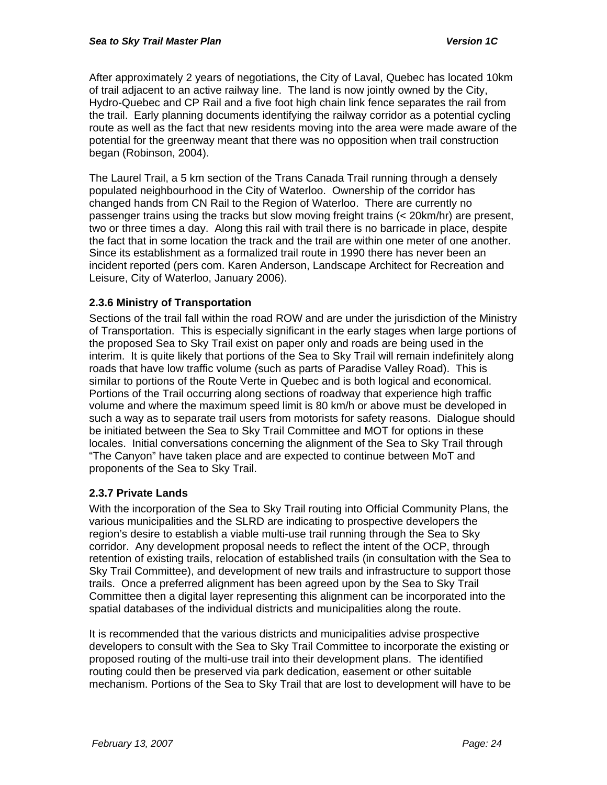<span id="page-28-0"></span>After approximately 2 years of negotiations, the City of Laval, Quebec has located 10km of trail adjacent to an active railway line. The land is now jointly owned by the City, Hydro-Quebec and CP Rail and a five foot high chain link fence separates the rail from the trail. Early planning documents identifying the railway corridor as a potential cycling route as well as the fact that new residents moving into the area were made aware of the potential for the greenway meant that there was no opposition when trail construction began (Robinson, 2004).

The Laurel Trail, a 5 km section of the Trans Canada Trail running through a densely populated neighbourhood in the City of Waterloo. Ownership of the corridor has changed hands from CN Rail to the Region of Waterloo. There are currently no passenger trains using the tracks but slow moving freight trains (< 20km/hr) are present, two or three times a day. Along this rail with trail there is no barricade in place, despite the fact that in some location the track and the trail are within one meter of one another. Since its establishment as a formalized trail route in 1990 there has never been an incident reported (pers com. Karen Anderson, Landscape Architect for Recreation and Leisure, City of Waterloo, January 2006).

## **2.3.6 Ministry of Transportation**

Sections of the trail fall within the road ROW and are under the jurisdiction of the Ministry of Transportation. This is especially significant in the early stages when large portions of the proposed Sea to Sky Trail exist on paper only and roads are being used in the interim. It is quite likely that portions of the Sea to Sky Trail will remain indefinitely along roads that have low traffic volume (such as parts of Paradise Valley Road). This is similar to portions of the Route Verte in Quebec and is both logical and economical. Portions of the Trail occurring along sections of roadway that experience high traffic volume and where the maximum speed limit is 80 km/h or above must be developed in such a way as to separate trail users from motorists for safety reasons. Dialogue should be initiated between the Sea to Sky Trail Committee and MOT for options in these locales. Initial conversations concerning the alignment of the Sea to Sky Trail through "The Canyon" have taken place and are expected to continue between MoT and proponents of the Sea to Sky Trail.

## **2.3.7 Private Lands**

With the incorporation of the Sea to Sky Trail routing into Official Community Plans, the various municipalities and the SLRD are indicating to prospective developers the region's desire to establish a viable multi-use trail running through the Sea to Sky corridor. Any development proposal needs to reflect the intent of the OCP, through retention of existing trails, relocation of established trails (in consultation with the Sea to Sky Trail Committee), and development of new trails and infrastructure to support those trails. Once a preferred alignment has been agreed upon by the Sea to Sky Trail Committee then a digital layer representing this alignment can be incorporated into the spatial databases of the individual districts and municipalities along the route.

It is recommended that the various districts and municipalities advise prospective developers to consult with the Sea to Sky Trail Committee to incorporate the existing or proposed routing of the multi-use trail into their development plans. The identified routing could then be preserved via park dedication, easement or other suitable mechanism. Portions of the Sea to Sky Trail that are lost to development will have to be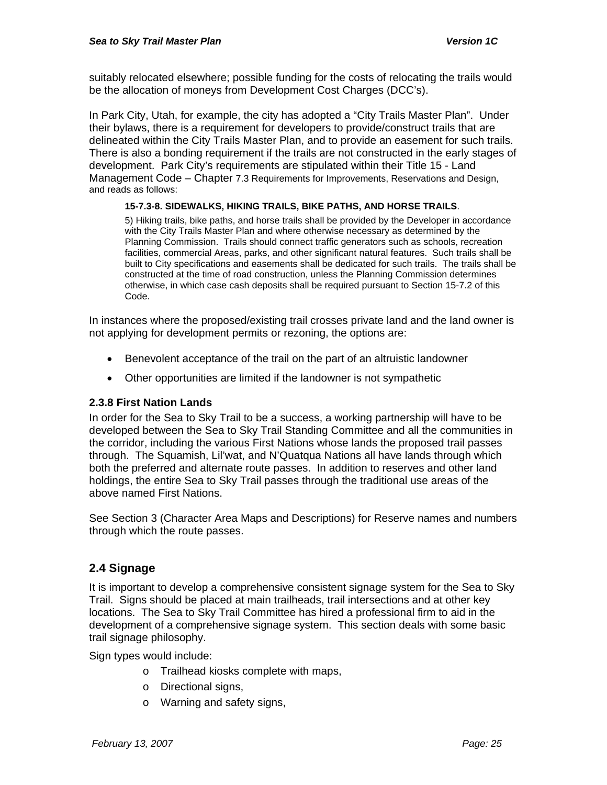<span id="page-29-0"></span>suitably relocated elsewhere; possible funding for the costs of relocating the trails would be the allocation of moneys from Development Cost Charges (DCC's).

In Park City, Utah, for example, the city has adopted a "City Trails Master Plan". Under their bylaws, there is a requirement for developers to provide/construct trails that are delineated within the City Trails Master Plan, and to provide an easement for such trails. There is also a bonding requirement if the trails are not constructed in the early stages of development. Park City's requirements are stipulated within their Title 15 - Land Management Code – Chapter 7.3 Requirements for Improvements, Reservations and Design, and reads as follows:

#### **15-7.3-8. SIDEWALKS, HIKING TRAILS, BIKE PATHS, AND HORSE TRAILS**.

5) Hiking trails, bike paths, and horse trails shall be provided by the Developer in accordance with the City Trails Master Plan and where otherwise necessary as determined by the Planning Commission. Trails should connect traffic generators such as schools, recreation facilities, commercial Areas, parks, and other significant natural features. Such trails shall be built to City specifications and easements shall be dedicated for such trails. The trails shall be constructed at the time of road construction, unless the Planning Commission determines otherwise, in which case cash deposits shall be required pursuant to Section 15-7.2 of this Code.

In instances where the proposed/existing trail crosses private land and the land owner is not applying for development permits or rezoning, the options are:

- Benevolent acceptance of the trail on the part of an altruistic landowner
- Other opportunities are limited if the landowner is not sympathetic

## **2.3.8 First Nation Lands**

In order for the Sea to Sky Trail to be a success, a working partnership will have to be developed between the Sea to Sky Trail Standing Committee and all the communities in the corridor, including the various First Nations whose lands the proposed trail passes through. The Squamish, Lil'wat, and N'Quatqua Nations all have lands through which both the preferred and alternate route passes. In addition to reserves and other land holdings, the entire Sea to Sky Trail passes through the traditional use areas of the above named First Nations.

See Section 3 (Character Area Maps and Descriptions) for Reserve names and numbers through which the route passes.

## **2.4 Signage**

It is important to develop a comprehensive consistent signage system for the Sea to Sky Trail. Signs should be placed at main trailheads, trail intersections and at other key locations. The Sea to Sky Trail Committee has hired a professional firm to aid in the development of a comprehensive signage system. This section deals with some basic trail signage philosophy.

Sign types would include:

- o Trailhead kiosks complete with maps,
- o Directional signs,
- o Warning and safety signs,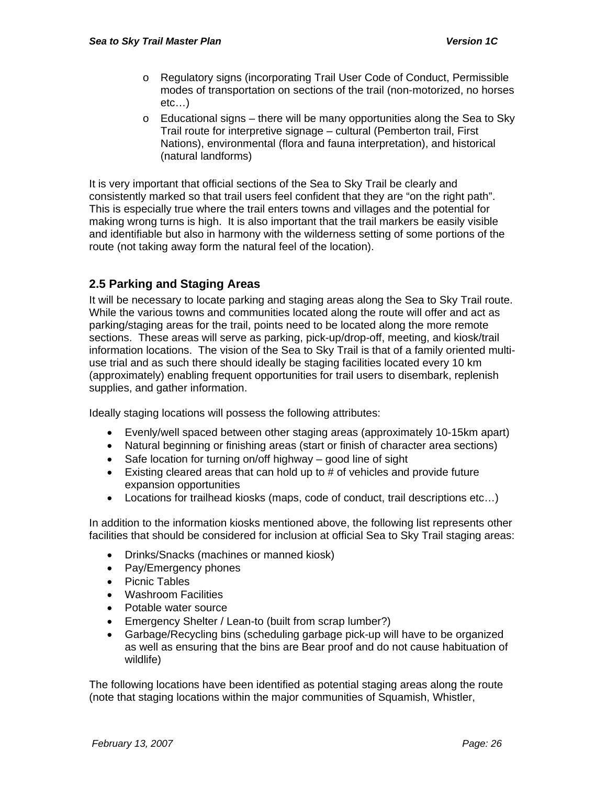- <span id="page-30-0"></span>o Regulatory signs (incorporating Trail User Code of Conduct, Permissible modes of transportation on sections of the trail (non-motorized, no horses etc…)
- $\circ$  Educational signs there will be many opportunities along the Sea to Sky Trail route for interpretive signage – cultural (Pemberton trail, First Nations), environmental (flora and fauna interpretation), and historical (natural landforms)

It is very important that official sections of the Sea to Sky Trail be clearly and consistently marked so that trail users feel confident that they are "on the right path". This is especially true where the trail enters towns and villages and the potential for making wrong turns is high. It is also important that the trail markers be easily visible and identifiable but also in harmony with the wilderness setting of some portions of the route (not taking away form the natural feel of the location).

## **2.5 Parking and Staging Areas**

It will be necessary to locate parking and staging areas along the Sea to Sky Trail route. While the various towns and communities located along the route will offer and act as parking/staging areas for the trail, points need to be located along the more remote sections. These areas will serve as parking, pick-up/drop-off, meeting, and kiosk/trail information locations. The vision of the Sea to Sky Trail is that of a family oriented multiuse trial and as such there should ideally be staging facilities located every 10 km (approximately) enabling frequent opportunities for trail users to disembark, replenish supplies, and gather information.

Ideally staging locations will possess the following attributes:

- Evenly/well spaced between other staging areas (approximately 10-15km apart)
- Natural beginning or finishing areas (start or finish of character area sections)
- Safe location for turning on/off highway good line of sight
- $\bullet$  Existing cleared areas that can hold up to  $\#$  of vehicles and provide future expansion opportunities
- Locations for trailhead kiosks (maps, code of conduct, trail descriptions etc…)

In addition to the information kiosks mentioned above, the following list represents other facilities that should be considered for inclusion at official Sea to Sky Trail staging areas:

- Drinks/Snacks (machines or manned kiosk)
- Pay/Emergency phones
- Picnic Tables
- Washroom Facilities
- Potable water source
- Emergency Shelter / Lean-to (built from scrap lumber?)
- Garbage/Recycling bins (scheduling garbage pick-up will have to be organized as well as ensuring that the bins are Bear proof and do not cause habituation of wildlife)

The following locations have been identified as potential staging areas along the route (note that staging locations within the major communities of Squamish, Whistler,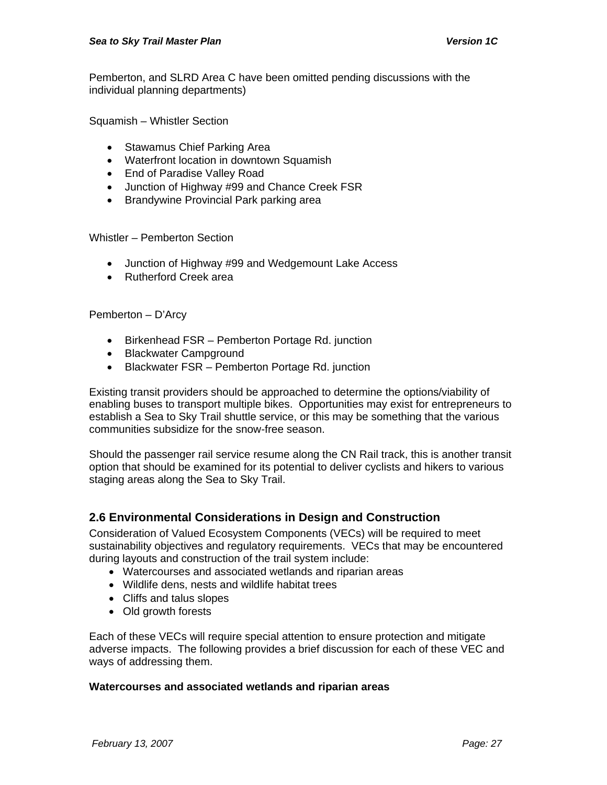<span id="page-31-0"></span>Pemberton, and SLRD Area C have been omitted pending discussions with the individual planning departments)

Squamish – Whistler Section

- Stawamus Chief Parking Area
- Waterfront location in downtown Squamish
- End of Paradise Valley Road
- Junction of Highway #99 and Chance Creek FSR
- Brandywine Provincial Park parking area

Whistler – Pemberton Section

- Junction of Highway #99 and Wedgemount Lake Access
- Rutherford Creek area

#### Pemberton – D'Arcy

- Birkenhead FSR Pemberton Portage Rd. junction
- Blackwater Campground
- Blackwater FSR Pemberton Portage Rd. junction

Existing transit providers should be approached to determine the options/viability of enabling buses to transport multiple bikes. Opportunities may exist for entrepreneurs to establish a Sea to Sky Trail shuttle service, or this may be something that the various communities subsidize for the snow-free season.

Should the passenger rail service resume along the CN Rail track, this is another transit option that should be examined for its potential to deliver cyclists and hikers to various staging areas along the Sea to Sky Trail.

## **2.6 Environmental Considerations in Design and Construction**

Consideration of Valued Ecosystem Components (VECs) will be required to meet sustainability objectives and regulatory requirements. VECs that may be encountered during layouts and construction of the trail system include:

- Watercourses and associated wetlands and riparian areas
- Wildlife dens, nests and wildlife habitat trees
- Cliffs and talus slopes
- Old growth forests

Each of these VECs will require special attention to ensure protection and mitigate adverse impacts. The following provides a brief discussion for each of these VEC and ways of addressing them.

#### **Watercourses and associated wetlands and riparian areas**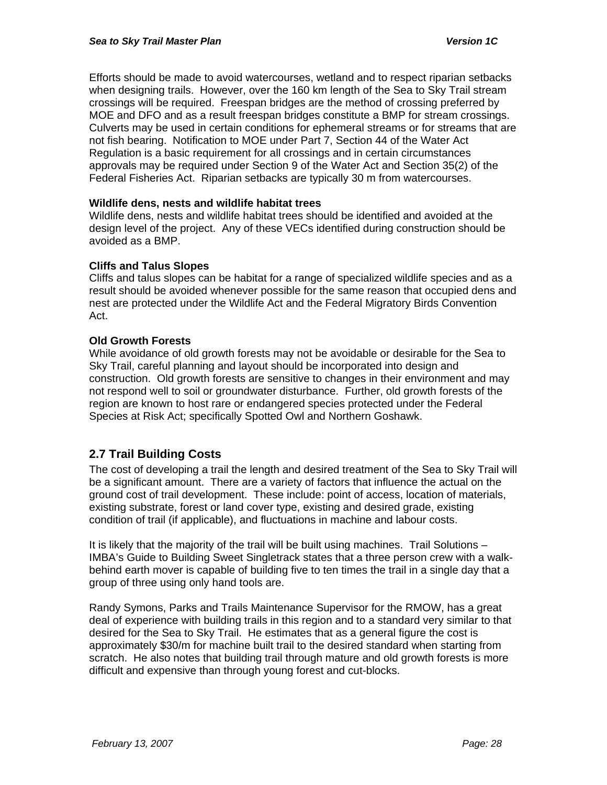<span id="page-32-0"></span>Efforts should be made to avoid watercourses, wetland and to respect riparian setbacks when designing trails. However, over the 160 km length of the Sea to Sky Trail stream crossings will be required. Freespan bridges are the method of crossing preferred by MOE and DFO and as a result freespan bridges constitute a BMP for stream crossings. Culverts may be used in certain conditions for ephemeral streams or for streams that are not fish bearing. Notification to MOE under Part 7, Section 44 of the Water Act Regulation is a basic requirement for all crossings and in certain circumstances approvals may be required under Section 9 of the Water Act and Section 35(2) of the Federal Fisheries Act. Riparian setbacks are typically 30 m from watercourses.

## **Wildlife dens, nests and wildlife habitat trees**

Wildlife dens, nests and wildlife habitat trees should be identified and avoided at the design level of the project. Any of these VECs identified during construction should be avoided as a BMP.

#### **Cliffs and Talus Slopes**

Cliffs and talus slopes can be habitat for a range of specialized wildlife species and as a result should be avoided whenever possible for the same reason that occupied dens and nest are protected under the Wildlife Act and the Federal Migratory Birds Convention Act.

## **Old Growth Forests**

While avoidance of old growth forests may not be avoidable or desirable for the Sea to Sky Trail, careful planning and layout should be incorporated into design and construction. Old growth forests are sensitive to changes in their environment and may not respond well to soil or groundwater disturbance. Further, old growth forests of the region are known to host rare or endangered species protected under the Federal Species at Risk Act; specifically Spotted Owl and Northern Goshawk.

## **2.7 Trail Building Costs**

The cost of developing a trail the length and desired treatment of the Sea to Sky Trail will be a significant amount. There are a variety of factors that influence the actual on the ground cost of trail development. These include: point of access, location of materials, existing substrate, forest or land cover type, existing and desired grade, existing condition of trail (if applicable), and fluctuations in machine and labour costs.

It is likely that the majority of the trail will be built using machines. Trail Solutions – IMBA's Guide to Building Sweet Singletrack states that a three person crew with a walkbehind earth mover is capable of building five to ten times the trail in a single day that a group of three using only hand tools are.

Randy Symons, Parks and Trails Maintenance Supervisor for the RMOW, has a great deal of experience with building trails in this region and to a standard very similar to that desired for the Sea to Sky Trail. He estimates that as a general figure the cost is approximately \$30/m for machine built trail to the desired standard when starting from scratch. He also notes that building trail through mature and old growth forests is more difficult and expensive than through young forest and cut-blocks.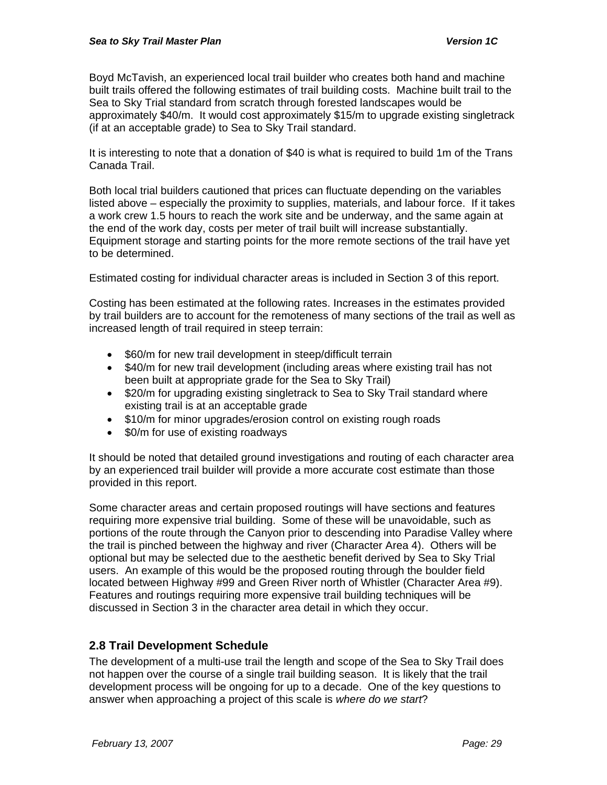<span id="page-33-0"></span>Boyd McTavish, an experienced local trail builder who creates both hand and machine built trails offered the following estimates of trail building costs. Machine built trail to the Sea to Sky Trial standard from scratch through forested landscapes would be approximately \$40/m. It would cost approximately \$15/m to upgrade existing singletrack (if at an acceptable grade) to Sea to Sky Trail standard.

It is interesting to note that a donation of \$40 is what is required to build 1m of the Trans Canada Trail.

Both local trial builders cautioned that prices can fluctuate depending on the variables listed above – especially the proximity to supplies, materials, and labour force. If it takes a work crew 1.5 hours to reach the work site and be underway, and the same again at the end of the work day, costs per meter of trail built will increase substantially. Equipment storage and starting points for the more remote sections of the trail have yet to be determined.

Estimated costing for individual character areas is included in Section 3 of this report.

Costing has been estimated at the following rates. Increases in the estimates provided by trail builders are to account for the remoteness of many sections of the trail as well as increased length of trail required in steep terrain:

- \$60/m for new trail development in steep/difficult terrain
- \$40/m for new trail development (including areas where existing trail has not been built at appropriate grade for the Sea to Sky Trail)
- \$20/m for upgrading existing singletrack to Sea to Sky Trail standard where existing trail is at an acceptable grade
- \$10/m for minor upgrades/erosion control on existing rough roads
- \$0/m for use of existing roadways

It should be noted that detailed ground investigations and routing of each character area by an experienced trail builder will provide a more accurate cost estimate than those provided in this report.

Some character areas and certain proposed routings will have sections and features requiring more expensive trial building. Some of these will be unavoidable, such as portions of the route through the Canyon prior to descending into Paradise Valley where the trail is pinched between the highway and river (Character Area 4). Others will be optional but may be selected due to the aesthetic benefit derived by Sea to Sky Trial users. An example of this would be the proposed routing through the boulder field located between Highway #99 and Green River north of Whistler (Character Area #9). Features and routings requiring more expensive trail building techniques will be discussed in Section 3 in the character area detail in which they occur.

## **2.8 Trail Development Schedule**

The development of a multi-use trail the length and scope of the Sea to Sky Trail does not happen over the course of a single trail building season. It is likely that the trail development process will be ongoing for up to a decade. One of the key questions to answer when approaching a project of this scale is *where do we start*?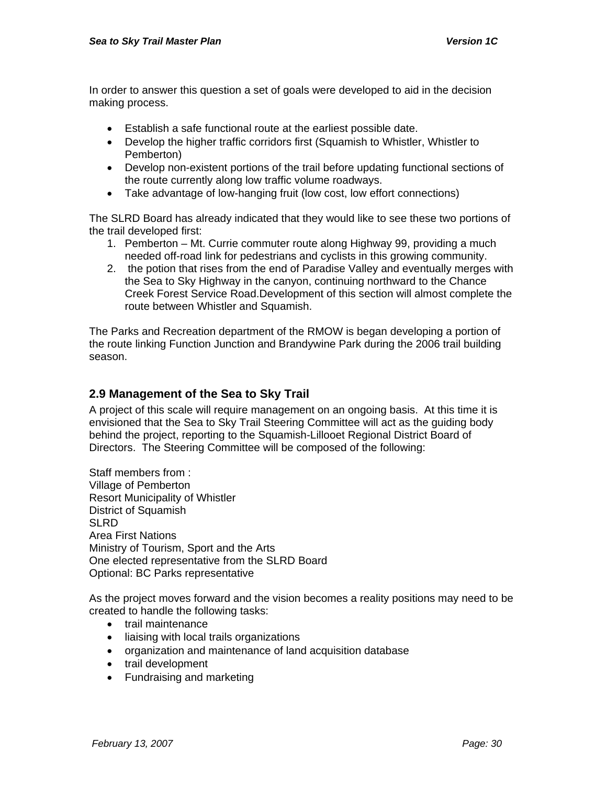<span id="page-34-0"></span>In order to answer this question a set of goals were developed to aid in the decision making process.

- Establish a safe functional route at the earliest possible date.
- Develop the higher traffic corridors first (Squamish to Whistler, Whistler to Pemberton)
- Develop non-existent portions of the trail before updating functional sections of the route currently along low traffic volume roadways.
- Take advantage of low-hanging fruit (low cost, low effort connections)

The SLRD Board has already indicated that they would like to see these two portions of the trail developed first:

- 1. Pemberton Mt. Currie commuter route along Highway 99, providing a much needed off-road link for pedestrians and cyclists in this growing community.
- 2. the potion that rises from the end of Paradise Valley and eventually merges with the Sea to Sky Highway in the canyon, continuing northward to the Chance Creek Forest Service Road.Development of this section will almost complete the route between Whistler and Squamish.

The Parks and Recreation department of the RMOW is began developing a portion of the route linking Function Junction and Brandywine Park during the 2006 trail building season.

## **2.9 Management of the Sea to Sky Trail**

A project of this scale will require management on an ongoing basis. At this time it is envisioned that the Sea to Sky Trail Steering Committee will act as the guiding body behind the project, reporting to the Squamish-Lillooet Regional District Board of Directors. The Steering Committee will be composed of the following:

Staff members from : Village of Pemberton Resort Municipality of Whistler District of Squamish SLRD. Area First Nations Ministry of Tourism, Sport and the Arts One elected representative from the SLRD Board Optional: BC Parks representative

As the project moves forward and the vision becomes a reality positions may need to be created to handle the following tasks:

- trail maintenance
- liaising with local trails organizations
- organization and maintenance of land acquisition database
- trail development
- Fundraising and marketing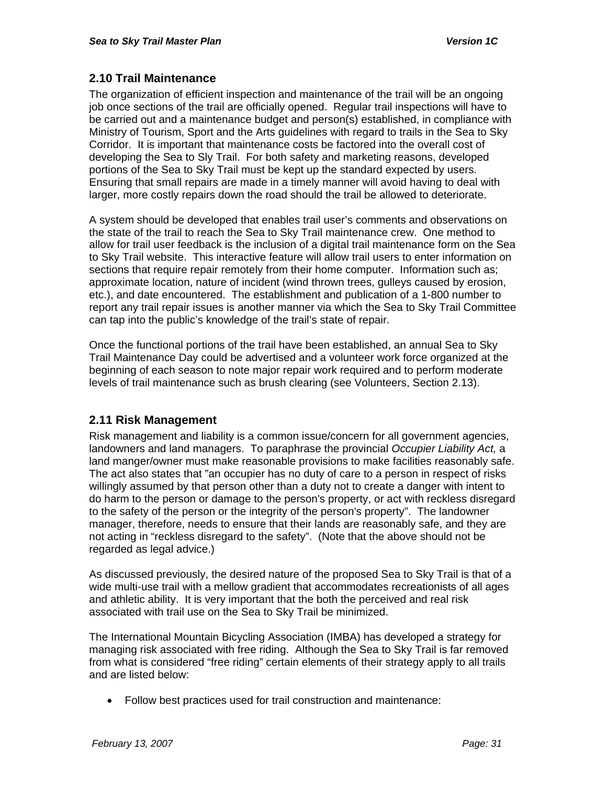## <span id="page-35-0"></span>**2.10 Trail Maintenance**

The organization of efficient inspection and maintenance of the trail will be an ongoing iob once sections of the trail are officially opened. Regular trail inspections will have to be carried out and a maintenance budget and person(s) established, in compliance with Ministry of Tourism, Sport and the Arts guidelines with regard to trails in the Sea to Sky Corridor. It is important that maintenance costs be factored into the overall cost of developing the Sea to Sly Trail. For both safety and marketing reasons, developed portions of the Sea to Sky Trail must be kept up the standard expected by users. Ensuring that small repairs are made in a timely manner will avoid having to deal with larger, more costly repairs down the road should the trail be allowed to deteriorate.

A system should be developed that enables trail user's comments and observations on the state of the trail to reach the Sea to Sky Trail maintenance crew. One method to allow for trail user feedback is the inclusion of a digital trail maintenance form on the Sea to Sky Trail website. This interactive feature will allow trail users to enter information on sections that require repair remotely from their home computer. Information such as; approximate location, nature of incident (wind thrown trees, gulleys caused by erosion, etc.), and date encountered. The establishment and publication of a 1-800 number to report any trail repair issues is another manner via which the Sea to Sky Trail Committee can tap into the public's knowledge of the trail's state of repair.

Once the functional portions of the trail have been established, an annual Sea to Sky Trail Maintenance Day could be advertised and a volunteer work force organized at the beginning of each season to note major repair work required and to perform moderate levels of trail maintenance such as brush clearing (see Volunteers, Section 2.13).

## **2.11 Risk Management**

Risk management and liability is a common issue/concern for all government agencies, landowners and land managers. To paraphrase the provincial *Occupier Liability Act,* a land manger/owner must make reasonable provisions to make facilities reasonably safe. The act also states that "an occupier has no duty of care to a person in respect of risks willingly assumed by that person other than a duty not to create a danger with intent to do harm to the person or damage to the person's property, or act with reckless disregard to the safety of the person or the integrity of the person's property". The landowner manager, therefore, needs to ensure that their lands are reasonably safe, and they are not acting in "reckless disregard to the safety". (Note that the above should not be regarded as legal advice.)

As discussed previously, the desired nature of the proposed Sea to Sky Trail is that of a wide multi-use trail with a mellow gradient that accommodates recreationists of all ages and athletic ability. It is very important that the both the perceived and real risk associated with trail use on the Sea to Sky Trail be minimized.

The International Mountain Bicycling Association (IMBA) has developed a strategy for managing risk associated with free riding. Although the Sea to Sky Trail is far removed from what is considered "free riding" certain elements of their strategy apply to all trails and are listed below:

• Follow best practices used for trail construction and maintenance: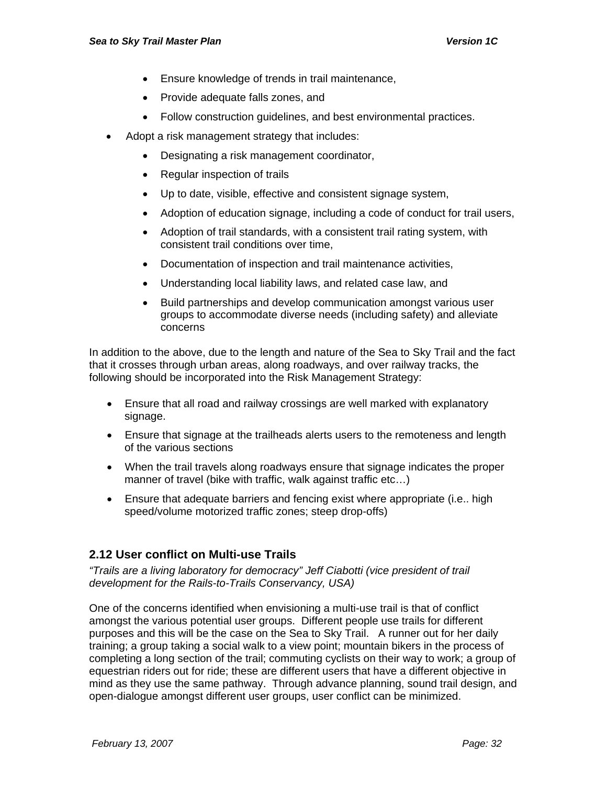- <span id="page-36-0"></span>• Ensure knowledge of trends in trail maintenance,
- Provide adequate falls zones, and
- Follow construction guidelines, and best environmental practices.
- Adopt a risk management strategy that includes:
	- Designating a risk management coordinator,
	- Regular inspection of trails
	- Up to date, visible, effective and consistent signage system,
	- Adoption of education signage, including a code of conduct for trail users,
	- Adoption of trail standards, with a consistent trail rating system, with consistent trail conditions over time,
	- Documentation of inspection and trail maintenance activities,
	- Understanding local liability laws, and related case law, and
	- Build partnerships and develop communication amongst various user groups to accommodate diverse needs (including safety) and alleviate concerns

In addition to the above, due to the length and nature of the Sea to Sky Trail and the fact that it crosses through urban areas, along roadways, and over railway tracks, the following should be incorporated into the Risk Management Strategy:

- Ensure that all road and railway crossings are well marked with explanatory signage.
- Ensure that signage at the trailheads alerts users to the remoteness and length of the various sections
- When the trail travels along roadways ensure that signage indicates the proper manner of travel (bike with traffic, walk against traffic etc...)
- Ensure that adequate barriers and fencing exist where appropriate (i.e., high speed/volume motorized traffic zones; steep drop-offs)

## **2.12 User conflict on Multi-use Trails**

*"Trails are a living laboratory for democracy" Jeff Ciabotti (vice president of trail development for the Rails-to-Trails Conservancy, USA)* 

One of the concerns identified when envisioning a multi-use trail is that of conflict amongst the various potential user groups. Different people use trails for different purposes and this will be the case on the Sea to Sky Trail. A runner out for her daily training; a group taking a social walk to a view point; mountain bikers in the process of completing a long section of the trail; commuting cyclists on their way to work; a group of equestrian riders out for ride; these are different users that have a different objective in mind as they use the same pathway. Through advance planning, sound trail design, and open-dialogue amongst different user groups, user conflict can be minimized.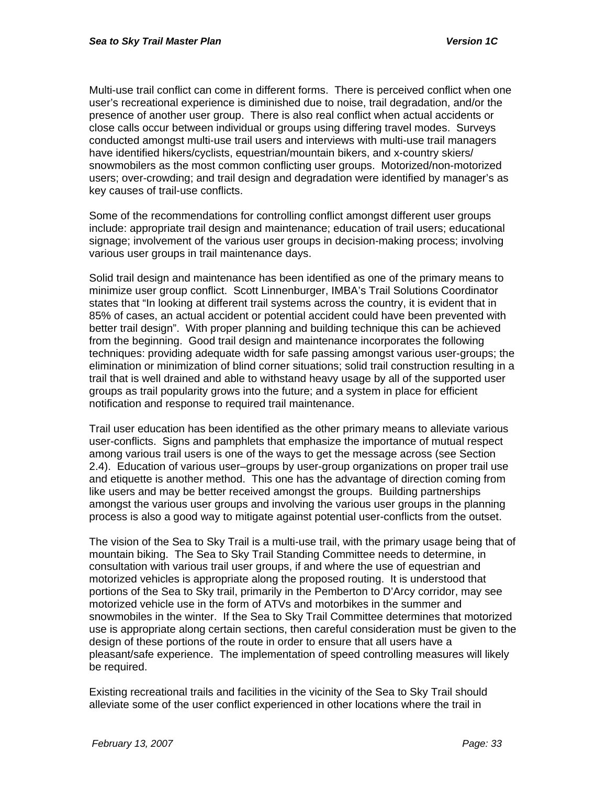Multi-use trail conflict can come in different forms. There is perceived conflict when one user's recreational experience is diminished due to noise, trail degradation, and/or the presence of another user group. There is also real conflict when actual accidents or close calls occur between individual or groups using differing travel modes. Surveys conducted amongst multi-use trail users and interviews with multi-use trail managers have identified hikers/cyclists, equestrian/mountain bikers, and x-country skiers/ snowmobilers as the most common conflicting user groups. Motorized/non-motorized users; over-crowding; and trail design and degradation were identified by manager's as key causes of trail-use conflicts.

Some of the recommendations for controlling conflict amongst different user groups include: appropriate trail design and maintenance; education of trail users; educational signage; involvement of the various user groups in decision-making process; involving various user groups in trail maintenance days.

Solid trail design and maintenance has been identified as one of the primary means to minimize user group conflict. Scott Linnenburger, IMBA's Trail Solutions Coordinator states that "In looking at different trail systems across the country, it is evident that in 85% of cases, an actual accident or potential accident could have been prevented with better trail design". With proper planning and building technique this can be achieved from the beginning. Good trail design and maintenance incorporates the following techniques: providing adequate width for safe passing amongst various user-groups; the elimination or minimization of blind corner situations; solid trail construction resulting in a trail that is well drained and able to withstand heavy usage by all of the supported user groups as trail popularity grows into the future; and a system in place for efficient notification and response to required trail maintenance.

Trail user education has been identified as the other primary means to alleviate various user-conflicts. Signs and pamphlets that emphasize the importance of mutual respect among various trail users is one of the ways to get the message across (see Section 2.4). Education of various user–groups by user-group organizations on proper trail use and etiquette is another method. This one has the advantage of direction coming from like users and may be better received amongst the groups. Building partnerships amongst the various user groups and involving the various user groups in the planning process is also a good way to mitigate against potential user-conflicts from the outset.

The vision of the Sea to Sky Trail is a multi-use trail, with the primary usage being that of mountain biking. The Sea to Sky Trail Standing Committee needs to determine, in consultation with various trail user groups, if and where the use of equestrian and motorized vehicles is appropriate along the proposed routing. It is understood that portions of the Sea to Sky trail, primarily in the Pemberton to D'Arcy corridor, may see motorized vehicle use in the form of ATVs and motorbikes in the summer and snowmobiles in the winter. If the Sea to Sky Trail Committee determines that motorized use is appropriate along certain sections, then careful consideration must be given to the design of these portions of the route in order to ensure that all users have a pleasant/safe experience. The implementation of speed controlling measures will likely be required.

Existing recreational trails and facilities in the vicinity of the Sea to Sky Trail should alleviate some of the user conflict experienced in other locations where the trail in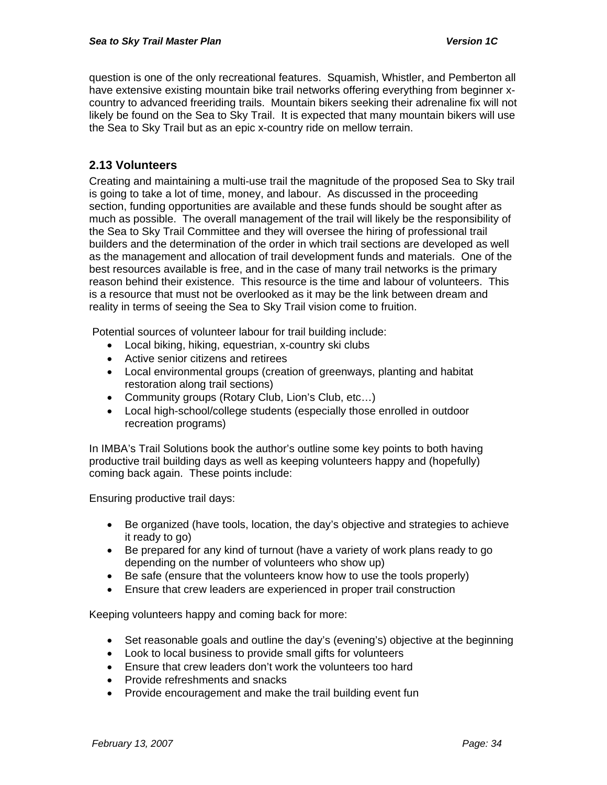<span id="page-38-0"></span>question is one of the only recreational features. Squamish, Whistler, and Pemberton all have extensive existing mountain bike trail networks offering everything from beginner xcountry to advanced freeriding trails. Mountain bikers seeking their adrenaline fix will not likely be found on the Sea to Sky Trail. It is expected that many mountain bikers will use the Sea to Sky Trail but as an epic x-country ride on mellow terrain.

## **2.13 Volunteers**

Creating and maintaining a multi-use trail the magnitude of the proposed Sea to Sky trail is going to take a lot of time, money, and labour. As discussed in the proceeding section, funding opportunities are available and these funds should be sought after as much as possible. The overall management of the trail will likely be the responsibility of the Sea to Sky Trail Committee and they will oversee the hiring of professional trail builders and the determination of the order in which trail sections are developed as well as the management and allocation of trail development funds and materials. One of the best resources available is free, and in the case of many trail networks is the primary reason behind their existence. This resource is the time and labour of volunteers. This is a resource that must not be overlooked as it may be the link between dream and reality in terms of seeing the Sea to Sky Trail vision come to fruition.

Potential sources of volunteer labour for trail building include:

- Local biking, hiking, equestrian, x-country ski clubs
- Active senior citizens and retirees
- Local environmental groups (creation of greenways, planting and habitat restoration along trail sections)
- Community groups (Rotary Club, Lion's Club, etc…)
- Local high-school/college students (especially those enrolled in outdoor recreation programs)

In IMBA's Trail Solutions book the author's outline some key points to both having productive trail building days as well as keeping volunteers happy and (hopefully) coming back again. These points include:

Ensuring productive trail days:

- Be organized (have tools, location, the day's objective and strategies to achieve it ready to go)
- Be prepared for any kind of turnout (have a variety of work plans ready to go depending on the number of volunteers who show up)
- Be safe (ensure that the volunteers know how to use the tools properly)
- Ensure that crew leaders are experienced in proper trail construction

Keeping volunteers happy and coming back for more:

- Set reasonable goals and outline the day's (evening's) objective at the beginning
- Look to local business to provide small gifts for volunteers
- Ensure that crew leaders don't work the volunteers too hard
- Provide refreshments and snacks
- Provide encouragement and make the trail building event fun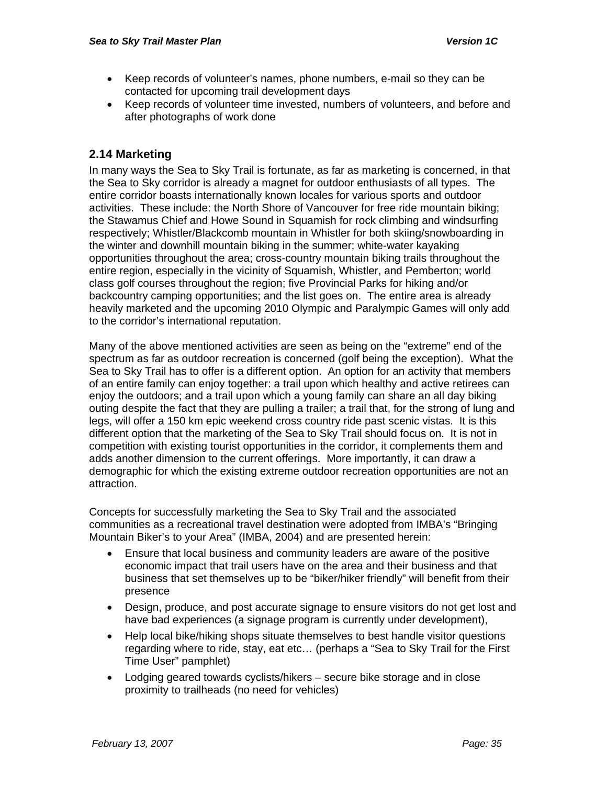- <span id="page-39-0"></span>• Keep records of volunteer's names, phone numbers, e-mail so they can be contacted for upcoming trail development days
- Keep records of volunteer time invested, numbers of volunteers, and before and after photographs of work done

## **2.14 Marketing**

In many ways the Sea to Sky Trail is fortunate, as far as marketing is concerned, in that the Sea to Sky corridor is already a magnet for outdoor enthusiasts of all types. The entire corridor boasts internationally known locales for various sports and outdoor activities. These include: the North Shore of Vancouver for free ride mountain biking; the Stawamus Chief and Howe Sound in Squamish for rock climbing and windsurfing respectively; Whistler/Blackcomb mountain in Whistler for both skiing/snowboarding in the winter and downhill mountain biking in the summer; white-water kayaking opportunities throughout the area; cross-country mountain biking trails throughout the entire region, especially in the vicinity of Squamish, Whistler, and Pemberton; world class golf courses throughout the region; five Provincial Parks for hiking and/or backcountry camping opportunities; and the list goes on. The entire area is already heavily marketed and the upcoming 2010 Olympic and Paralympic Games will only add to the corridor's international reputation.

Many of the above mentioned activities are seen as being on the "extreme" end of the spectrum as far as outdoor recreation is concerned (golf being the exception). What the Sea to Sky Trail has to offer is a different option. An option for an activity that members of an entire family can enjoy together: a trail upon which healthy and active retirees can enjoy the outdoors; and a trail upon which a young family can share an all day biking outing despite the fact that they are pulling a trailer; a trail that, for the strong of lung and legs, will offer a 150 km epic weekend cross country ride past scenic vistas. It is this different option that the marketing of the Sea to Sky Trail should focus on. It is not in competition with existing tourist opportunities in the corridor, it complements them and adds another dimension to the current offerings. More importantly, it can draw a demographic for which the existing extreme outdoor recreation opportunities are not an attraction.

Concepts for successfully marketing the Sea to Sky Trail and the associated communities as a recreational travel destination were adopted from IMBA's "Bringing Mountain Biker's to your Area" (IMBA, 2004) and are presented herein:

- Ensure that local business and community leaders are aware of the positive economic impact that trail users have on the area and their business and that business that set themselves up to be "biker/hiker friendly" will benefit from their presence
- Design, produce, and post accurate signage to ensure visitors do not get lost and have bad experiences (a signage program is currently under development),
- Help local bike/hiking shops situate themselves to best handle visitor questions regarding where to ride, stay, eat etc… (perhaps a "Sea to Sky Trail for the First Time User" pamphlet)
- Lodging geared towards cyclists/hikers secure bike storage and in close proximity to trailheads (no need for vehicles)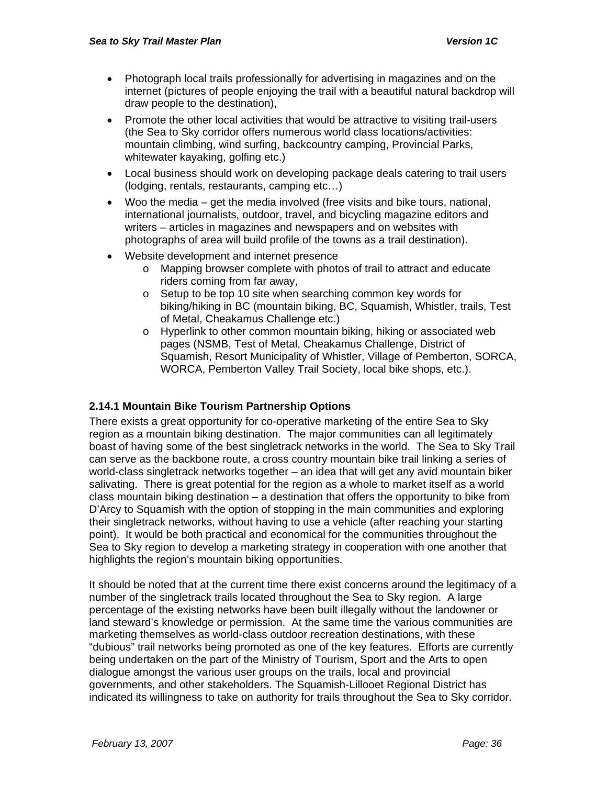- <span id="page-40-0"></span>• Photograph local trails professionally for advertising in magazines and on the internet (pictures of people enjoying the trail with a beautiful natural backdrop will draw people to the destination),
- Promote the other local activities that would be attractive to visiting trail-users (the Sea to Sky corridor offers numerous world class locations/activities: mountain climbing, wind surfing, backcountry camping, Provincial Parks, whitewater kayaking, golfing etc.)
- Local business should work on developing package deals catering to trail users (lodging, rentals, restaurants, camping etc…)
- Woo the media get the media involved (free visits and bike tours, national, international journalists, outdoor, travel, and bicycling magazine editors and writers – articles in magazines and newspapers and on websites with photographs of area will build profile of the towns as a trail destination).
- Website development and internet presence
	- o Mapping browser complete with photos of trail to attract and educate riders coming from far away,
	- o Setup to be top 10 site when searching common key words for biking/hiking in BC (mountain biking, BC, Squamish, Whistler, trails, Test of Metal, Cheakamus Challenge etc.)
	- o Hyperlink to other common mountain biking, hiking or associated web pages (NSMB, Test of Metal, Cheakamus Challenge, District of Squamish, Resort Municipality of Whistler, Village of Pemberton, SORCA, WORCA, Pemberton Valley Trail Society, local bike shops, etc.).

## **2.14.1 Mountain Bike Tourism Partnership Options**

There exists a great opportunity for co-operative marketing of the entire Sea to Sky region as a mountain biking destination. The major communities can all legitimately boast of having some of the best singletrack networks in the world. The Sea to Sky Trail can serve as the backbone route, a cross country mountain bike trail linking a series of world-class singletrack networks together – an idea that will get any avid mountain biker salivating. There is great potential for the region as a whole to market itself as a world class mountain biking destination – a destination that offers the opportunity to bike from D'Arcy to Squamish with the option of stopping in the main communities and exploring their singletrack networks, without having to use a vehicle (after reaching your starting point). It would be both practical and economical for the communities throughout the Sea to Sky region to develop a marketing strategy in cooperation with one another that highlights the region's mountain biking opportunities.

It should be noted that at the current time there exist concerns around the legitimacy of a number of the singletrack trails located throughout the Sea to Sky region. A large percentage of the existing networks have been built illegally without the landowner or land steward's knowledge or permission. At the same time the various communities are marketing themselves as world-class outdoor recreation destinations, with these "dubious" trail networks being promoted as one of the key features. Efforts are currently being undertaken on the part of the Ministry of Tourism, Sport and the Arts to open dialogue amongst the various user groups on the trails, local and provincial governments, and other stakeholders. The Squamish-Lillooet Regional District has indicated its willingness to take on authority for trails throughout the Sea to Sky corridor.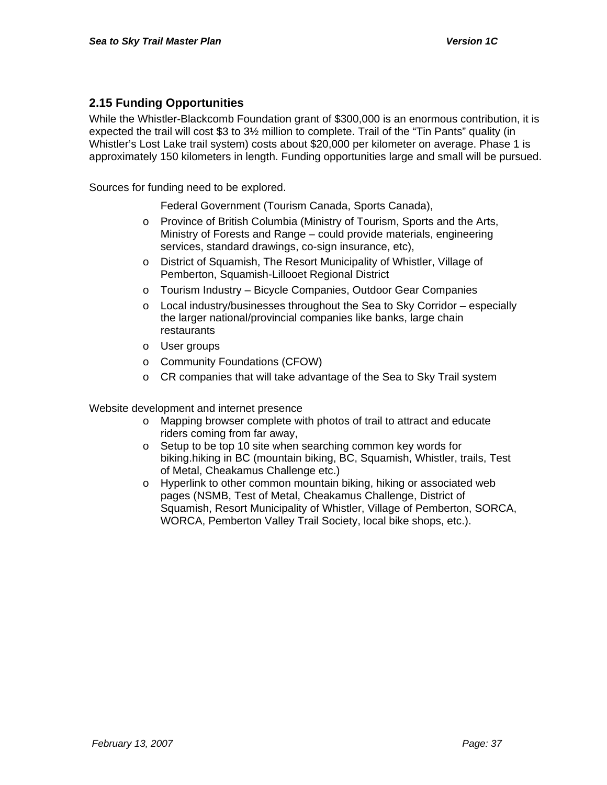## <span id="page-41-0"></span>**2.15 Funding Opportunities**

While the Whistler-Blackcomb Foundation grant of \$300,000 is an enormous contribution, it is expected the trail will cost \$3 to 3½ million to complete. Trail of the "Tin Pants" quality (in Whistler's Lost Lake trail system) costs about \$20,000 per kilometer on average. Phase 1 is approximately 150 kilometers in length. Funding opportunities large and small will be pursued.

Sources for funding need to be explored.

Federal Government (Tourism Canada, Sports Canada),

- o Province of British Columbia (Ministry of Tourism, Sports and the Arts, Ministry of Forests and Range – could provide materials, engineering services, standard drawings, co-sign insurance, etc),
- o District of Squamish, The Resort Municipality of Whistler, Village of Pemberton, Squamish-Lillooet Regional District
- o Tourism Industry Bicycle Companies, Outdoor Gear Companies
- $\circ$  Local industry/businesses throughout the Sea to Sky Corridor especially the larger national/provincial companies like banks, large chain restaurants
- o User groups
- o Community Foundations (CFOW)
- o CR companies that will take advantage of the Sea to Sky Trail system

Website development and internet presence

- o Mapping browser complete with photos of trail to attract and educate riders coming from far away,
- o Setup to be top 10 site when searching common key words for biking.hiking in BC (mountain biking, BC, Squamish, Whistler, trails, Test of Metal, Cheakamus Challenge etc.)
- o Hyperlink to other common mountain biking, hiking or associated web pages (NSMB, Test of Metal, Cheakamus Challenge, District of Squamish, Resort Municipality of Whistler, Village of Pemberton, SORCA, WORCA, Pemberton Valley Trail Society, local bike shops, etc.).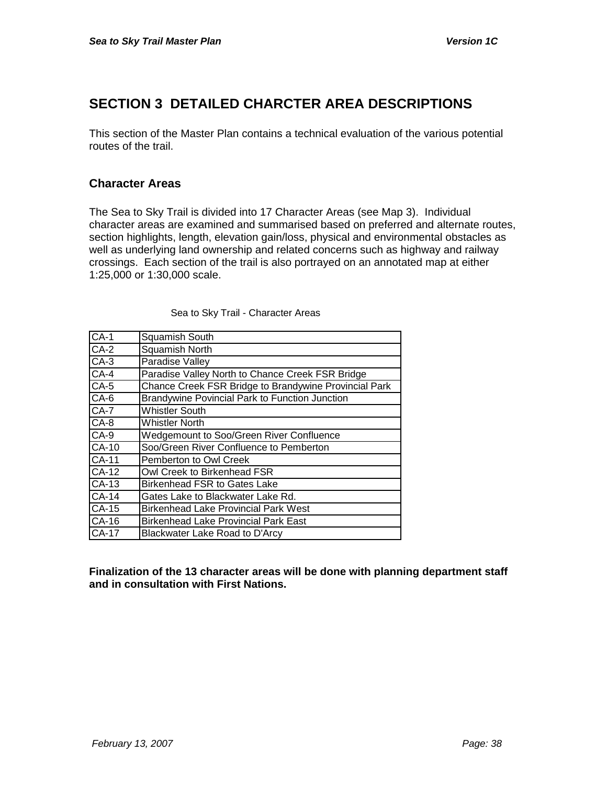# <span id="page-42-0"></span>**SECTION 3 DETAILED CHARCTER AREA DESCRIPTIONS**

This section of the Master Plan contains a technical evaluation of the various potential routes of the trail.

## **Character Areas**

The Sea to Sky Trail is divided into 17 Character Areas (see Map 3). Individual character areas are examined and summarised based on preferred and alternate routes, section highlights, length, elevation gain/loss, physical and environmental obstacles as well as underlying land ownership and related concerns such as highway and railway crossings. Each section of the trail is also portrayed on an annotated map at either 1:25,000 or 1:30,000 scale.

| $CA-1$       | Squamish South                                        |
|--------------|-------------------------------------------------------|
| $CA-2$       | Squamish North                                        |
| $CA-3$       | Paradise Valley                                       |
| $CA-4$       | Paradise Valley North to Chance Creek FSR Bridge      |
| $CA-5$       | Chance Creek FSR Bridge to Brandywine Provincial Park |
| $CA-6$       | Brandywine Povincial Park to Function Junction        |
| <b>CA-7</b>  | <b>Whistler South</b>                                 |
| $CA-8$       | <b>Whistler North</b>                                 |
| $CA-9$       | Wedgemount to Soo/Green River Confluence              |
| CA-10        | Soo/Green River Confluence to Pemberton               |
| <b>CA-11</b> | Pemberton to Owl Creek                                |
| CA-12        | Owl Creek to Birkenhead FSR                           |
| CA-13        | <b>Birkenhead FSR to Gates Lake</b>                   |
| CA-14        | Gates Lake to Blackwater Lake Rd.                     |
| CA-15        | <b>Birkenhead Lake Provincial Park West</b>           |
| CA-16        | <b>Birkenhead Lake Provincial Park East</b>           |
| CA-17        | Blackwater Lake Road to D'Arcy                        |

Sea to Sky Trail - Character Areas

**Finalization of the 13 character areas will be done with planning department staff and in consultation with First Nations.**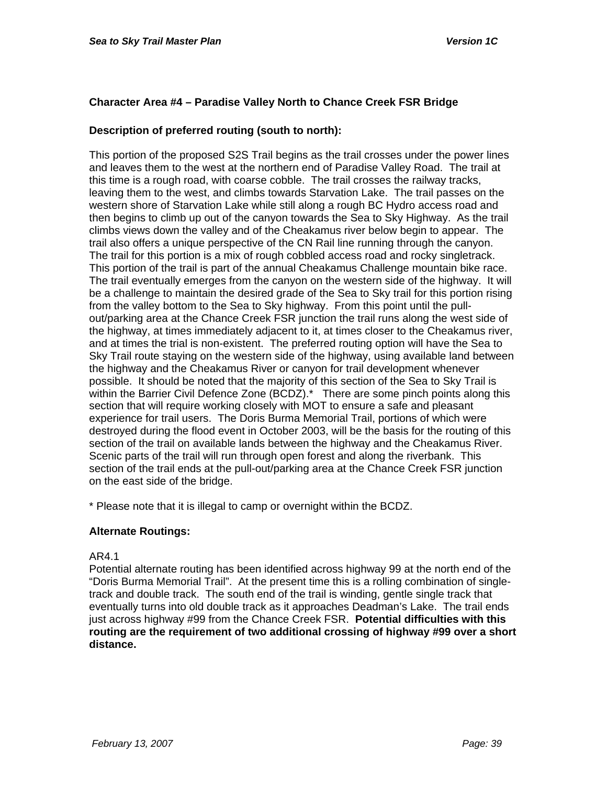## <span id="page-43-0"></span>**Character Area #4 – Paradise Valley North to Chance Creek FSR Bridge**

#### **Description of preferred routing (south to north):**

This portion of the proposed S2S Trail begins as the trail crosses under the power lines and leaves them to the west at the northern end of Paradise Valley Road. The trail at this time is a rough road, with coarse cobble. The trail crosses the railway tracks, leaving them to the west, and climbs towards Starvation Lake. The trail passes on the western shore of Starvation Lake while still along a rough BC Hydro access road and then begins to climb up out of the canyon towards the Sea to Sky Highway. As the trail climbs views down the valley and of the Cheakamus river below begin to appear. The trail also offers a unique perspective of the CN Rail line running through the canyon. The trail for this portion is a mix of rough cobbled access road and rocky singletrack. This portion of the trail is part of the annual Cheakamus Challenge mountain bike race. The trail eventually emerges from the canyon on the western side of the highway. It will be a challenge to maintain the desired grade of the Sea to Sky trail for this portion rising from the valley bottom to the Sea to Sky highway. From this point until the pullout/parking area at the Chance Creek FSR junction the trail runs along the west side of the highway, at times immediately adjacent to it, at times closer to the Cheakamus river, and at times the trial is non-existent. The preferred routing option will have the Sea to Sky Trail route staying on the western side of the highway, using available land between the highway and the Cheakamus River or canyon for trail development whenever possible. It should be noted that the majority of this section of the Sea to Sky Trail is within the Barrier Civil Defence Zone (BCDZ).<sup>\*</sup> There are some pinch points along this section that will require working closely with MOT to ensure a safe and pleasant experience for trail users. The Doris Burma Memorial Trail, portions of which were destroyed during the flood event in October 2003, will be the basis for the routing of this section of the trail on available lands between the highway and the Cheakamus River. Scenic parts of the trail will run through open forest and along the riverbank. This section of the trail ends at the pull-out/parking area at the Chance Creek FSR junction on the east side of the bridge.

\* Please note that it is illegal to camp or overnight within the BCDZ.

#### **Alternate Routings:**

#### AR4.1

Potential alternate routing has been identified across highway 99 at the north end of the "Doris Burma Memorial Trail". At the present time this is a rolling combination of singletrack and double track. The south end of the trail is winding, gentle single track that eventually turns into old double track as it approaches Deadman's Lake. The trail ends just across highway #99 from the Chance Creek FSR. **Potential difficulties with this routing are the requirement of two additional crossing of highway #99 over a short distance.**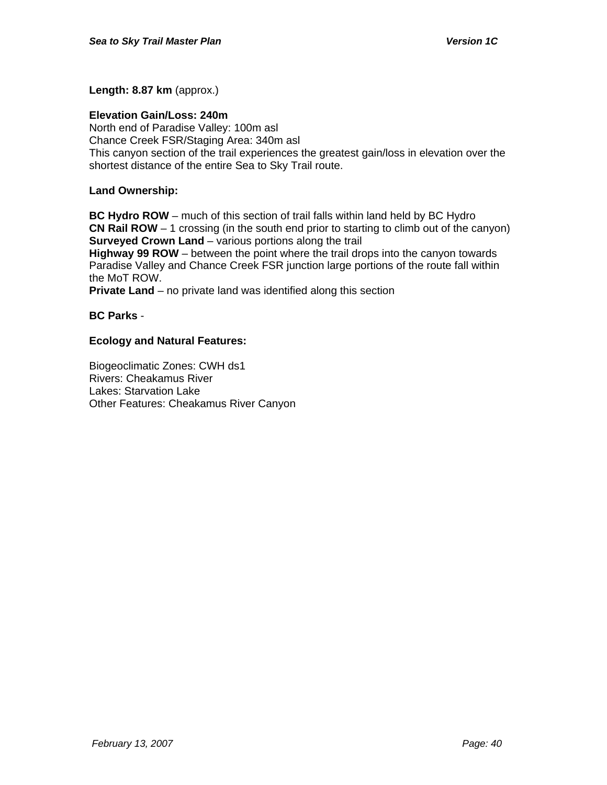**Length: 8.87 km** (approx.)

## **Elevation Gain/Loss: 240m**

North end of Paradise Valley: 100m asl Chance Creek FSR/Staging Area: 340m asl This canyon section of the trail experiences the greatest gain/loss in elevation over the shortest distance of the entire Sea to Sky Trail route.

## **Land Ownership:**

**BC Hydro ROW** – much of this section of trail falls within land held by BC Hydro **CN Rail ROW** – 1 crossing (in the south end prior to starting to climb out of the canyon) **Surveyed Crown Land** – various portions along the trail

**Highway 99 ROW** – between the point where the trail drops into the canyon towards Paradise Valley and Chance Creek FSR junction large portions of the route fall within the MoT ROW.

**Private Land** – no private land was identified along this section

## **BC Parks** -

## **Ecology and Natural Features:**

Biogeoclimatic Zones: CWH ds1 Rivers: Cheakamus River Lakes: Starvation Lake Other Features: Cheakamus River Canyon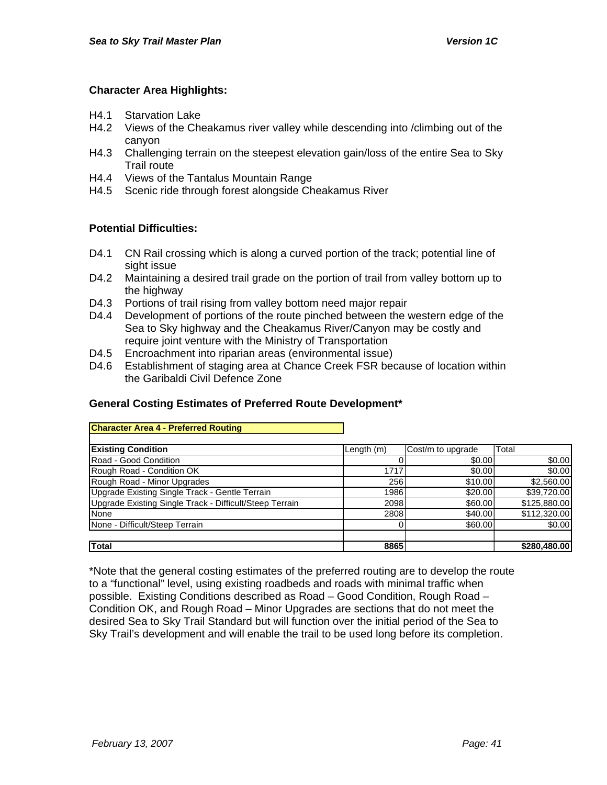#### **Character Area Highlights:**

- H4.1 Starvation Lake
- H4.2 Views of the Cheakamus river valley while descending into /climbing out of the canyon
- H4.3 Challenging terrain on the steepest elevation gain/loss of the entire Sea to Sky Trail route
- H4.4 Views of the Tantalus Mountain Range
- H4.5 Scenic ride through forest alongside Cheakamus River

#### **Potential Difficulties:**

- D4.1 CN Rail crossing which is along a curved portion of the track; potential line of sight issue
- D4.2 Maintaining a desired trail grade on the portion of trail from valley bottom up to the highway
- D4.3 Portions of trail rising from valley bottom need major repair
- D4.4 Development of portions of the route pinched between the western edge of the Sea to Sky highway and the Cheakamus River/Canyon may be costly and require joint venture with the Ministry of Transportation
- D4.5 Encroachment into riparian areas (environmental issue)
- D4.6 Establishment of staging area at Chance Creek FSR because of location within the Garibaldi Civil Defence Zone

## **General Costing Estimates of Preferred Route Development\***

| <b>Character Area 4 - Preferred Routing</b>             |            |                   |              |
|---------------------------------------------------------|------------|-------------------|--------------|
| <b>Existing Condition</b>                               | Length (m) | Cost/m to upgrade | Total        |
| Road - Good Condition                                   |            | \$0.00            | \$0.00       |
| Rough Road - Condition OK                               | 1717       | \$0.00            | \$0.00       |
| Rough Road - Minor Upgrades                             | 256        | \$10.00           | \$2,560.00   |
| Upgrade Existing Single Track - Gentle Terrain          | 1986       | \$20,00           | \$39,720.00  |
| Upgrade Existing Single Track - Difficult/Steep Terrain | 2098       | \$60,00           | \$125,880.00 |
| <b>None</b>                                             | 2808       | \$40.00           | \$112,320.00 |
| None - Difficult/Steep Terrain                          |            | \$60.00           | \$0.00       |
| Total                                                   | 8865       |                   | \$280,480.00 |

\*Note that the general costing estimates of the preferred routing are to develop the route to a "functional" level, using existing roadbeds and roads with minimal traffic when possible. Existing Conditions described as Road – Good Condition, Rough Road – Condition OK, and Rough Road – Minor Upgrades are sections that do not meet the desired Sea to Sky Trail Standard but will function over the initial period of the Sea to Sky Trail's development and will enable the trail to be used long before its completion.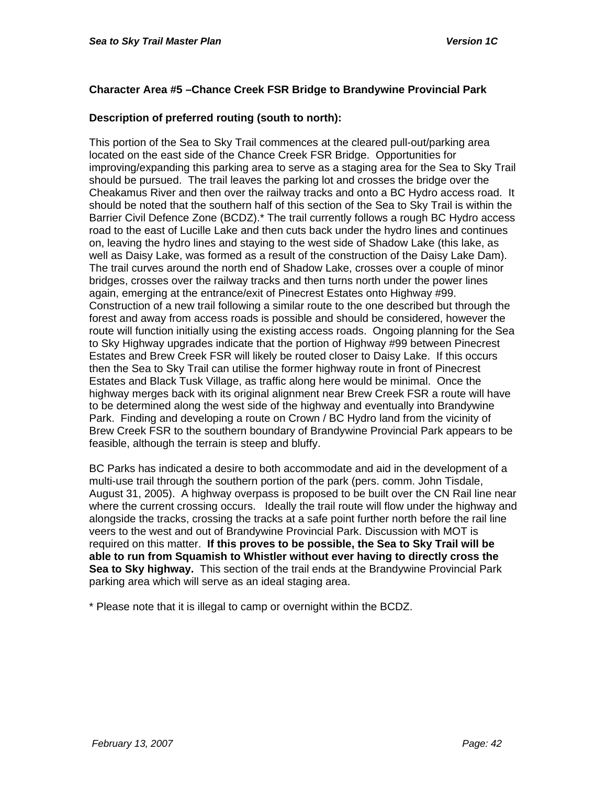## **Character Area #5 –Chance Creek FSR Bridge to Brandywine Provincial Park**

## **Description of preferred routing (south to north):**

This portion of the Sea to Sky Trail commences at the cleared pull-out/parking area located on the east side of the Chance Creek FSR Bridge. Opportunities for improving/expanding this parking area to serve as a staging area for the Sea to Sky Trail should be pursued. The trail leaves the parking lot and crosses the bridge over the Cheakamus River and then over the railway tracks and onto a BC Hydro access road. It should be noted that the southern half of this section of the Sea to Sky Trail is within the Barrier Civil Defence Zone (BCDZ).\* The trail currently follows a rough BC Hydro access road to the east of Lucille Lake and then cuts back under the hydro lines and continues on, leaving the hydro lines and staying to the west side of Shadow Lake (this lake, as well as Daisy Lake, was formed as a result of the construction of the Daisy Lake Dam). The trail curves around the north end of Shadow Lake, crosses over a couple of minor bridges, crosses over the railway tracks and then turns north under the power lines again, emerging at the entrance/exit of Pinecrest Estates onto Highway #99. Construction of a new trail following a similar route to the one described but through the forest and away from access roads is possible and should be considered, however the route will function initially using the existing access roads. Ongoing planning for the Sea to Sky Highway upgrades indicate that the portion of Highway #99 between Pinecrest Estates and Brew Creek FSR will likely be routed closer to Daisy Lake. If this occurs then the Sea to Sky Trail can utilise the former highway route in front of Pinecrest Estates and Black Tusk Village, as traffic along here would be minimal. Once the highway merges back with its original alignment near Brew Creek FSR a route will have to be determined along the west side of the highway and eventually into Brandywine Park. Finding and developing a route on Crown / BC Hydro land from the vicinity of Brew Creek FSR to the southern boundary of Brandywine Provincial Park appears to be feasible, although the terrain is steep and bluffy.

BC Parks has indicated a desire to both accommodate and aid in the development of a multi-use trail through the southern portion of the park (pers. comm. John Tisdale, August 31, 2005). A highway overpass is proposed to be built over the CN Rail line near where the current crossing occurs. Ideally the trail route will flow under the highway and alongside the tracks, crossing the tracks at a safe point further north before the rail line veers to the west and out of Brandywine Provincial Park. Discussion with MOT is required on this matter. **If this proves to be possible, the Sea to Sky Trail will be able to run from Squamish to Whistler without ever having to directly cross the Sea to Sky highway.** This section of the trail ends at the Brandywine Provincial Park parking area which will serve as an ideal staging area.

\* Please note that it is illegal to camp or overnight within the BCDZ.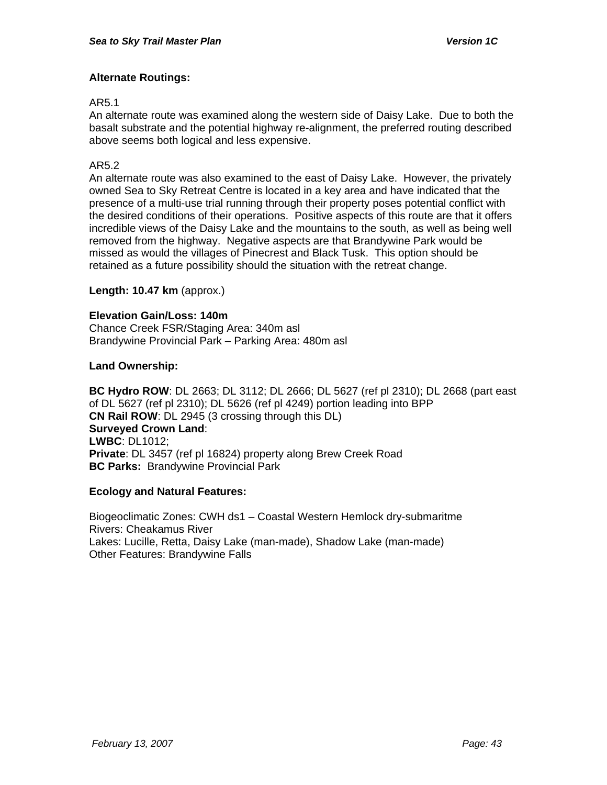## **Alternate Routings:**

## AR5.1

An alternate route was examined along the western side of Daisy Lake. Due to both the basalt substrate and the potential highway re-alignment, the preferred routing described above seems both logical and less expensive.

## AR5.2

An alternate route was also examined to the east of Daisy Lake. However, the privately owned Sea to Sky Retreat Centre is located in a key area and have indicated that the presence of a multi-use trial running through their property poses potential conflict with the desired conditions of their operations. Positive aspects of this route are that it offers incredible views of the Daisy Lake and the mountains to the south, as well as being well removed from the highway. Negative aspects are that Brandywine Park would be missed as would the villages of Pinecrest and Black Tusk. This option should be retained as a future possibility should the situation with the retreat change.

## **Length: 10.47 km** (approx.)

## **Elevation Gain/Loss: 140m**

Chance Creek FSR/Staging Area: 340m asl Brandywine Provincial Park – Parking Area: 480m asl

## **Land Ownership:**

**BC Hydro ROW**: DL 2663; DL 3112; DL 2666; DL 5627 (ref pl 2310); DL 2668 (part east of DL 5627 (ref pl 2310); DL 5626 (ref pl 4249) portion leading into BPP **CN Rail ROW**: DL 2945 (3 crossing through this DL) **Surveyed Crown Land**: **LWBC**: DL1012; **Private**: DL 3457 (ref pl 16824) property along Brew Creek Road **BC Parks:** Brandywine Provincial Park

## **Ecology and Natural Features:**

Biogeoclimatic Zones: CWH ds1 – Coastal Western Hemlock dry-submaritme Rivers: Cheakamus River Lakes: Lucille, Retta, Daisy Lake (man-made), Shadow Lake (man-made) Other Features: Brandywine Falls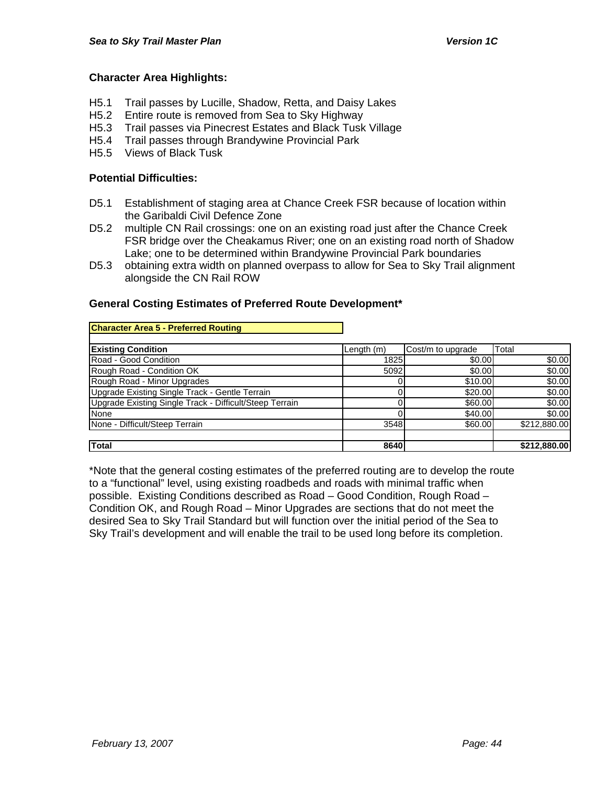## **Character Area Highlights:**

- H5.1 Trail passes by Lucille, Shadow, Retta, and Daisy Lakes
- H5.2 Entire route is removed from Sea to Sky Highway
- H5.3 Trail passes via Pinecrest Estates and Black Tusk Village
- H5.4 Trail passes through Brandywine Provincial Park
- H5.5 Views of Black Tusk

#### **Potential Difficulties:**

- D5.1 Establishment of staging area at Chance Creek FSR because of location within the Garibaldi Civil Defence Zone
- D5.2 multiple CN Rail crossings: one on an existing road just after the Chance Creek FSR bridge over the Cheakamus River; one on an existing road north of Shadow Lake; one to be determined within Brandywine Provincial Park boundaries
- D5.3 obtaining extra width on planned overpass to allow for Sea to Sky Trail alignment alongside the CN Rail ROW

## **General Costing Estimates of Preferred Route Development\***

| <b>Character Area 5 - Preferred Routing</b>             |            |                   |              |
|---------------------------------------------------------|------------|-------------------|--------------|
| <b>Existing Condition</b>                               | Length (m) | Cost/m to upgrade | Total        |
| Road - Good Condition                                   | 1825       | \$0.00            | \$0.00       |
| Rough Road - Condition OK                               | 5092       | \$0.00            | \$0.00       |
| Rough Road - Minor Upgrades                             |            | \$10.00           | \$0.00       |
| Upgrade Existing Single Track - Gentle Terrain          |            | \$20.00           | \$0.00       |
| Upgrade Existing Single Track - Difficult/Steep Terrain |            | \$60.00           | \$0.00       |
| <b>None</b>                                             |            | \$40.00           | \$0.00       |
| None - Difficult/Steep Terrain                          | 3548       | \$60.00           | \$212,880.00 |
|                                                         |            |                   |              |
| <b>Total</b>                                            | 8640       |                   | \$212,880.00 |

\*Note that the general costing estimates of the preferred routing are to develop the route to a "functional" level, using existing roadbeds and roads with minimal traffic when possible. Existing Conditions described as Road – Good Condition, Rough Road – Condition OK, and Rough Road – Minor Upgrades are sections that do not meet the desired Sea to Sky Trail Standard but will function over the initial period of the Sea to Sky Trail's development and will enable the trail to be used long before its completion.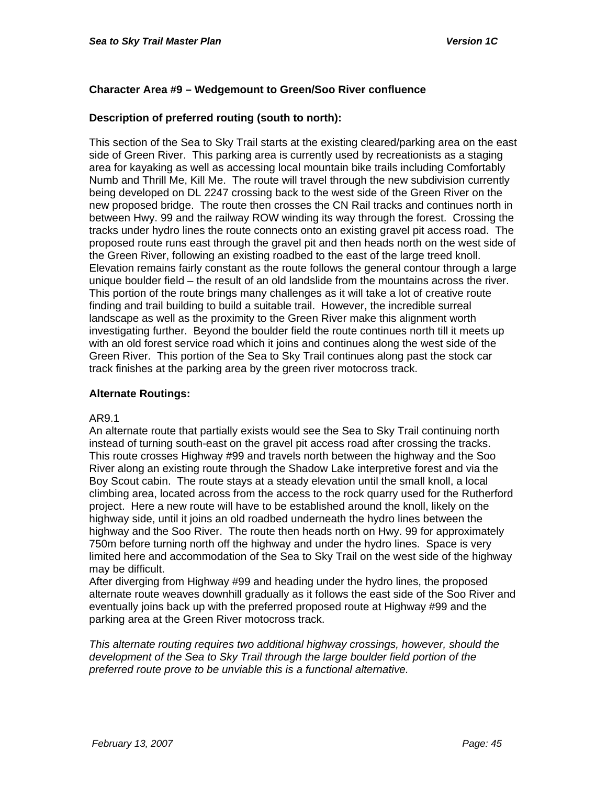## **Character Area #9 – Wedgemount to Green/Soo River confluence**

## **Description of preferred routing (south to north):**

This section of the Sea to Sky Trail starts at the existing cleared/parking area on the east side of Green River. This parking area is currently used by recreationists as a staging area for kayaking as well as accessing local mountain bike trails including Comfortably Numb and Thrill Me, Kill Me. The route will travel through the new subdivision currently being developed on DL 2247 crossing back to the west side of the Green River on the new proposed bridge. The route then crosses the CN Rail tracks and continues north in between Hwy. 99 and the railway ROW winding its way through the forest. Crossing the tracks under hydro lines the route connects onto an existing gravel pit access road. The proposed route runs east through the gravel pit and then heads north on the west side of the Green River, following an existing roadbed to the east of the large treed knoll. Elevation remains fairly constant as the route follows the general contour through a large unique boulder field – the result of an old landslide from the mountains across the river. This portion of the route brings many challenges as it will take a lot of creative route finding and trail building to build a suitable trail. However, the incredible surreal landscape as well as the proximity to the Green River make this alignment worth investigating further. Beyond the boulder field the route continues north till it meets up with an old forest service road which it joins and continues along the west side of the Green River. This portion of the Sea to Sky Trail continues along past the stock car track finishes at the parking area by the green river motocross track.

#### **Alternate Routings:**

#### AR9.1

An alternate route that partially exists would see the Sea to Sky Trail continuing north instead of turning south-east on the gravel pit access road after crossing the tracks. This route crosses Highway #99 and travels north between the highway and the Soo River along an existing route through the Shadow Lake interpretive forest and via the Boy Scout cabin. The route stays at a steady elevation until the small knoll, a local climbing area, located across from the access to the rock quarry used for the Rutherford project. Here a new route will have to be established around the knoll, likely on the highway side, until it joins an old roadbed underneath the hydro lines between the highway and the Soo River. The route then heads north on Hwy. 99 for approximately 750m before turning north off the highway and under the hydro lines. Space is very limited here and accommodation of the Sea to Sky Trail on the west side of the highway may be difficult.

After diverging from Highway #99 and heading under the hydro lines, the proposed alternate route weaves downhill gradually as it follows the east side of the Soo River and eventually joins back up with the preferred proposed route at Highway #99 and the parking area at the Green River motocross track.

*This alternate routing requires two additional highway crossings, however, should the development of the Sea to Sky Trail through the large boulder field portion of the preferred route prove to be unviable this is a functional alternative.*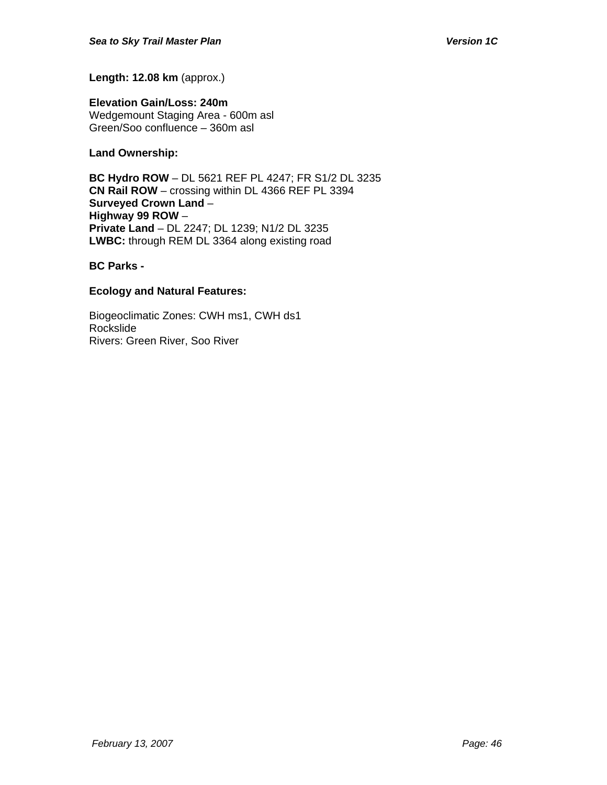**Length: 12.08 km** (approx.)

**Elevation Gain/Loss: 240m** Wedgemount Staging Area - 600m asl Green/Soo confluence – 360m asl

**Land Ownership:** 

**BC Hydro ROW** – DL 5621 REF PL 4247; FR S1/2 DL 3235 **CN Rail ROW** – crossing within DL 4366 REF PL 3394 **Surveyed Crown Land** – **Highway 99 ROW** – **Private Land** – DL 2247; DL 1239; N1/2 DL 3235 **LWBC:** through REM DL 3364 along existing road

**BC Parks -** 

## **Ecology and Natural Features:**

Biogeoclimatic Zones: CWH ms1, CWH ds1 Rockslide Rivers: Green River, Soo River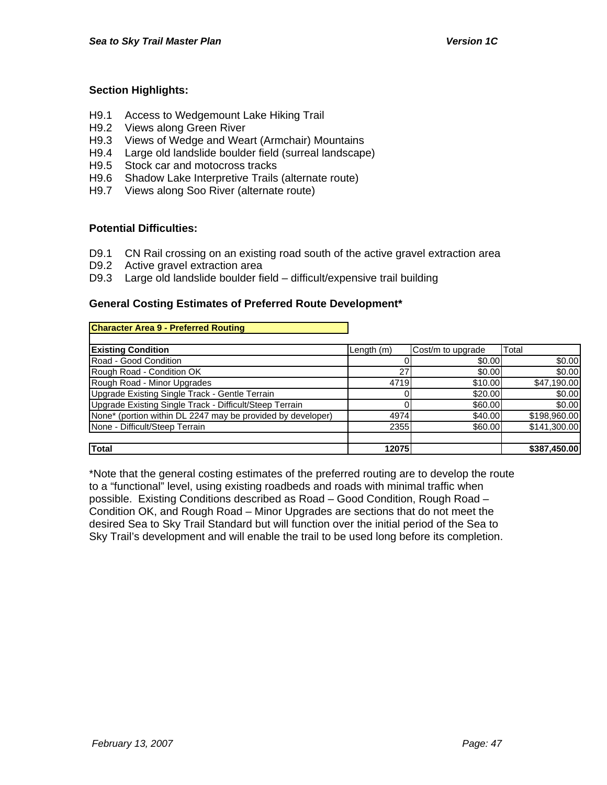#### **Section Highlights:**

- H9.1 Access to Wedgemount Lake Hiking Trail
- H9.2 Views along Green River
- H9.3 Views of Wedge and Weart (Armchair) Mountains
- H9.4 Large old landslide boulder field (surreal landscape)
- H9.5 Stock car and motocross tracks
- H9.6 Shadow Lake Interpretive Trails (alternate route)
- H9.7 Views along Soo River (alternate route)

#### **Potential Difficulties:**

- D9.1 CN Rail crossing on an existing road south of the active gravel extraction area
- D9.2 Active gravel extraction area
- D9.3 Large old landslide boulder field difficult/expensive trail building

#### **General Costing Estimates of Preferred Route Development\***

| <b>Character Area 9 - Preferred Routing</b>                 |            |                   |              |
|-------------------------------------------------------------|------------|-------------------|--------------|
| <b>Existing Condition</b>                                   | Length (m) | Cost/m to upgrade | Total        |
| Road - Good Condition                                       |            | \$0.00            | \$0.00       |
| Rough Road - Condition OK                                   | 27         | \$0.00            | \$0.00       |
| Rough Road - Minor Upgrades                                 | 4719       | \$10.00           | \$47,190.00  |
| Upgrade Existing Single Track - Gentle Terrain              |            | \$20.00           | \$0.00       |
| Upgrade Existing Single Track - Difficult/Steep Terrain     |            | \$60.00           | \$0.00       |
| None* (portion within DL 2247 may be provided by developer) | 4974       | \$40.00           | \$198,960.00 |
| None - Difficult/Steep Terrain                              | 2355       | \$60.00           | \$141,300.00 |
|                                                             |            |                   |              |
| <b>Total</b>                                                | 12075      |                   | \$387,450.00 |

\*Note that the general costing estimates of the preferred routing are to develop the route to a "functional" level, using existing roadbeds and roads with minimal traffic when possible. Existing Conditions described as Road – Good Condition, Rough Road – Condition OK, and Rough Road – Minor Upgrades are sections that do not meet the desired Sea to Sky Trail Standard but will function over the initial period of the Sea to Sky Trail's development and will enable the trail to be used long before its completion.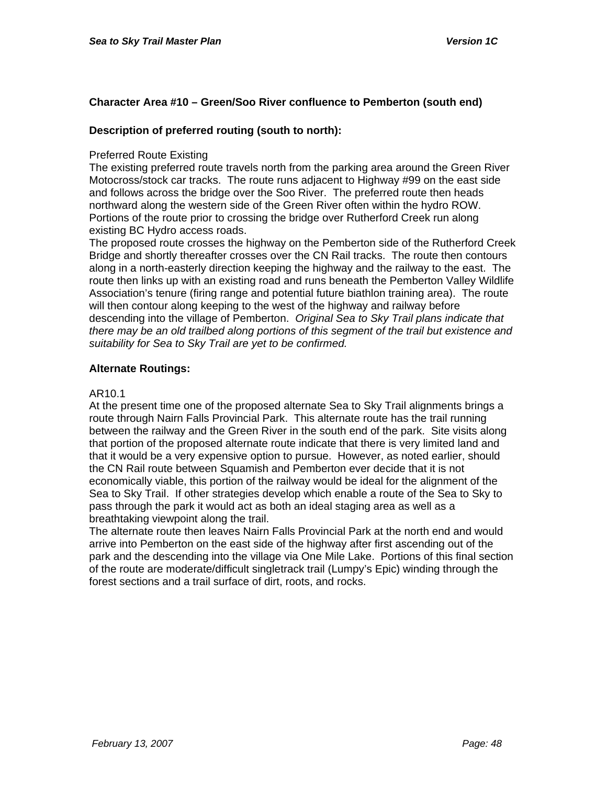## <span id="page-52-0"></span>**Character Area #10 – Green/Soo River confluence to Pemberton (south end)**

#### **Description of preferred routing (south to north):**

#### Preferred Route Existing

The existing preferred route travels north from the parking area around the Green River Motocross/stock car tracks. The route runs adjacent to Highway #99 on the east side and follows across the bridge over the Soo River. The preferred route then heads northward along the western side of the Green River often within the hydro ROW. Portions of the route prior to crossing the bridge over Rutherford Creek run along existing BC Hydro access roads.

The proposed route crosses the highway on the Pemberton side of the Rutherford Creek Bridge and shortly thereafter crosses over the CN Rail tracks. The route then contours along in a north-easterly direction keeping the highway and the railway to the east. The route then links up with an existing road and runs beneath the Pemberton Valley Wildlife Association's tenure (firing range and potential future biathlon training area). The route will then contour along keeping to the west of the highway and railway before descending into the village of Pemberton. *Original Sea to Sky Trail plans indicate that there may be an old trailbed along portions of this segment of the trail but existence and suitability for Sea to Sky Trail are yet to be confirmed.*

#### **Alternate Routings:**

#### AR10.1

At the present time one of the proposed alternate Sea to Sky Trail alignments brings a route through Nairn Falls Provincial Park. This alternate route has the trail running between the railway and the Green River in the south end of the park. Site visits along that portion of the proposed alternate route indicate that there is very limited land and that it would be a very expensive option to pursue. However, as noted earlier, should the CN Rail route between Squamish and Pemberton ever decide that it is not economically viable, this portion of the railway would be ideal for the alignment of the Sea to Sky Trail. If other strategies develop which enable a route of the Sea to Sky to pass through the park it would act as both an ideal staging area as well as a breathtaking viewpoint along the trail.

The alternate route then leaves Nairn Falls Provincial Park at the north end and would arrive into Pemberton on the east side of the highway after first ascending out of the park and the descending into the village via One Mile Lake. Portions of this final section of the route are moderate/difficult singletrack trail (Lumpy's Epic) winding through the forest sections and a trail surface of dirt, roots, and rocks.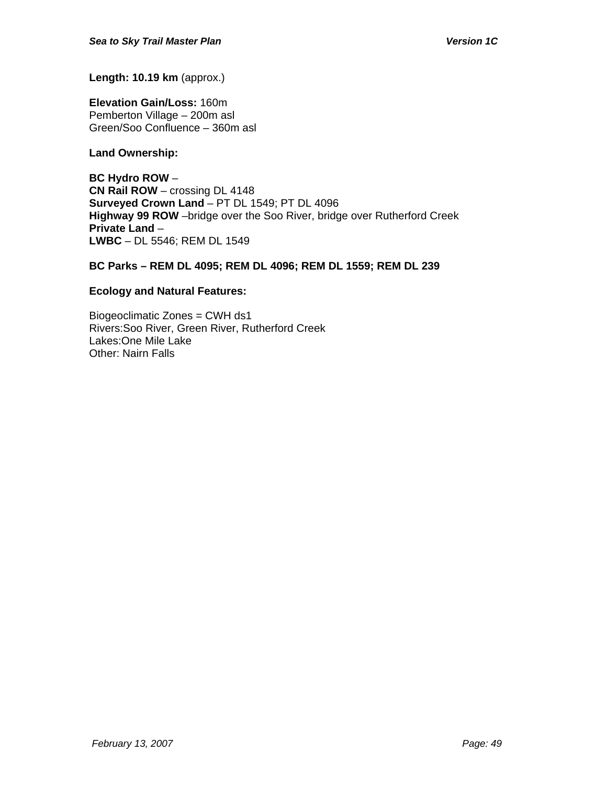**Length: 10.19 km** (approx.)

**Elevation Gain/Loss:** 160m Pemberton Village – 200m asl Green/Soo Confluence – 360m asl

**Land Ownership:** 

**BC Hydro ROW** – **CN Rail ROW** – crossing DL 4148 **Surveyed Crown Land** – PT DL 1549; PT DL 4096 **Highway 99 ROW** –bridge over the Soo River, bridge over Rutherford Creek **Private Land** – **LWBC** – DL 5546; REM DL 1549

## **BC Parks – REM DL 4095; REM DL 4096; REM DL 1559; REM DL 239**

## **Ecology and Natural Features:**

Biogeoclimatic Zones = CWH ds1 Rivers:Soo River, Green River, Rutherford Creek Lakes:One Mile Lake Other: Nairn Falls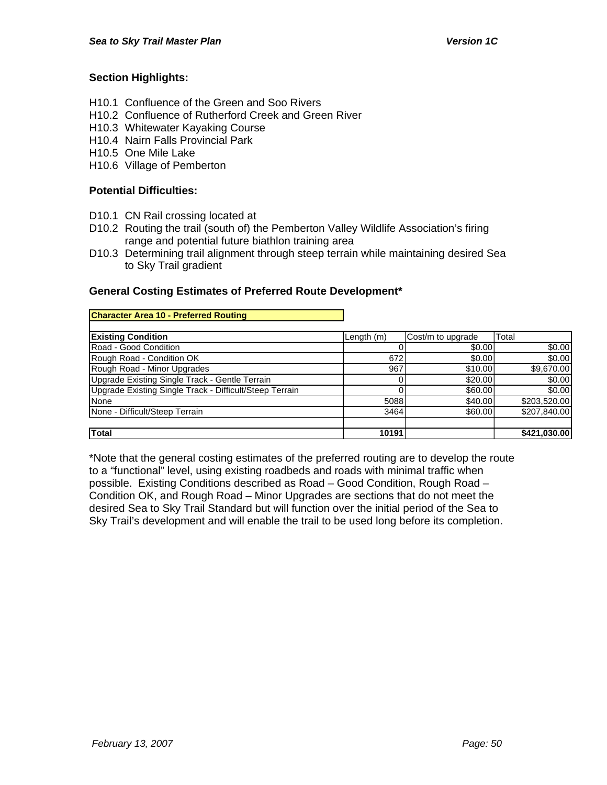## **Section Highlights:**

- H10.1 Confluence of the Green and Soo Rivers
- H10.2 Confluence of Rutherford Creek and Green River
- H10.3 Whitewater Kayaking Course
- H10.4 Nairn Falls Provincial Park
- H10.5 One Mile Lake
- H10.6 Village of Pemberton

## **Potential Difficulties:**

- D10.1 CN Rail crossing located at
- D10.2 Routing the trail (south of) the Pemberton Valley Wildlife Association's firing range and potential future biathlon training area
- D10.3 Determining trail alignment through steep terrain while maintaining desired Sea to Sky Trail gradient

## **General Costing Estimates of Preferred Route Development\***

| <b>Character Area 10 - Preferred Routing</b>            |            |                   |              |
|---------------------------------------------------------|------------|-------------------|--------------|
| <b>Existing Condition</b>                               | Length (m) | Cost/m to upgrade | Total        |
| Road - Good Condition                                   |            | \$0.00            | \$0.00       |
| Rough Road - Condition OK                               | 672        | \$0.00            | \$0.00       |
| Rough Road - Minor Upgrades                             | 967        | \$10.00           | \$9,670.00   |
| Upgrade Existing Single Track - Gentle Terrain          |            | \$20.00           | \$0.00       |
| Upgrade Existing Single Track - Difficult/Steep Terrain |            | \$60,00           | \$0.00       |
| <b>None</b>                                             | 5088       | \$40.00           | \$203,520.00 |
| None - Difficult/Steep Terrain                          | 3464       | \$60.00           | \$207,840.00 |
| Total                                                   | 10191      |                   | \$421,030.00 |

\*Note that the general costing estimates of the preferred routing are to develop the route to a "functional" level, using existing roadbeds and roads with minimal traffic when possible. Existing Conditions described as Road – Good Condition, Rough Road – Condition OK, and Rough Road – Minor Upgrades are sections that do not meet the desired Sea to Sky Trail Standard but will function over the initial period of the Sea to Sky Trail's development and will enable the trail to be used long before its completion.